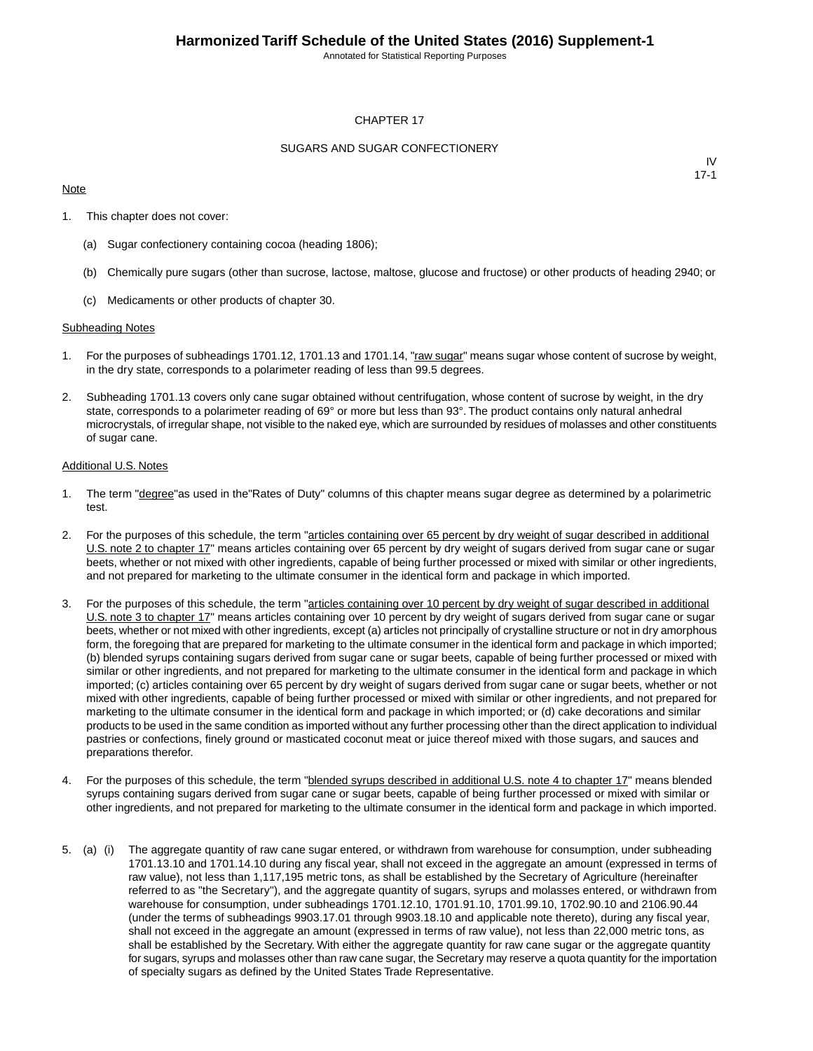Annotated for Statistical Reporting Purposes

#### CHAPTER 17

#### SUGARS AND SUGAR CONFECTIONERY

#### **Note**

IV 17-1

- 1. This chapter does not cover:
	- (a) Sugar confectionery containing cocoa (heading 1806);
	- (b) Chemically pure sugars (other than sucrose, lactose, maltose, glucose and fructose) or other products of heading 2940; or
	- (c) Medicaments or other products of chapter 30.

#### Subheading Notes

- 1. For the purposes of subheadings 1701.12, 1701.13 and 1701.14, "raw sugar" means sugar whose content of sucrose by weight, in the dry state, corresponds to a polarimeter reading of less than 99.5 degrees.
- 2. Subheading 1701.13 covers only cane sugar obtained without centrifugation, whose content of sucrose by weight, in the dry state, corresponds to a polarimeter reading of 69° or more but less than 93°. The product contains only natural anhedral microcrystals, of irregular shape, not visible to the naked eye, which are surrounded by residues of molasses and other constituents of sugar cane.

#### Additional U.S. Notes

- 1. The term "degree"as used in the"Rates of Duty" columns of this chapter means sugar degree as determined by a polarimetric test.
- 2. For the purposes of this schedule, the term "articles containing over 65 percent by dry weight of sugar described in additional U.S. note 2 to chapter 17" means articles containing over 65 percent by dry weight of sugars derived from sugar cane or sugar beets, whether or not mixed with other ingredients, capable of being further processed or mixed with similar or other ingredients, and not prepared for marketing to the ultimate consumer in the identical form and package in which imported.
- 3. For the purposes of this schedule, the term "articles containing over 10 percent by dry weight of sugar described in additional U.S. note 3 to chapter 17" means articles containing over 10 percent by dry weight of sugars derived from sugar cane or sugar beets, whether or not mixed with other ingredients, except (a) articles not principally of crystalline structure or not in dry amorphous form, the foregoing that are prepared for marketing to the ultimate consumer in the identical form and package in which imported; (b) blended syrups containing sugars derived from sugar cane or sugar beets, capable of being further processed or mixed with similar or other ingredients, and not prepared for marketing to the ultimate consumer in the identical form and package in which imported; (c) articles containing over 65 percent by dry weight of sugars derived from sugar cane or sugar beets, whether or not mixed with other ingredients, capable of being further processed or mixed with similar or other ingredients, and not prepared for marketing to the ultimate consumer in the identical form and package in which imported; or (d) cake decorations and similar products to be used in the same condition as imported without any further processing other than the direct application to individual pastries or confections, finely ground or masticated coconut meat or juice thereof mixed with those sugars, and sauces and preparations therefor.
- 4. For the purposes of this schedule, the term "**blended syrups described in additional U.S. note 4 to chapter 17**" means blended syrups containing sugars derived from sugar cane or sugar beets, capable of being further processed or mixed with similar or other ingredients, and not prepared for marketing to the ultimate consumer in the identical form and package in which imported.
- 5. (a) (i) The aggregate quantity of raw cane sugar entered, or withdrawn from warehouse for consumption, under subheading 1701.13.10 and 1701.14.10 during any fiscal year, shall not exceed in the aggregate an amount (expressed in terms of raw value), not less than 1,117,195 metric tons, as shall be established by the Secretary of Agriculture (hereinafter referred to as "the Secretary"), and the aggregate quantity of sugars, syrups and molasses entered, or withdrawn from warehouse for consumption, under subheadings 1701.12.10, 1701.91.10, 1701.99.10, 1702.90.10 and 2106.90.44 (under the terms of subheadings 9903.17.01 through 9903.18.10 and applicable note thereto), during any fiscal year, shall not exceed in the aggregate an amount (expressed in terms of raw value), not less than 22,000 metric tons, as shall be established by the Secretary. With either the aggregate quantity for raw cane sugar or the aggregate quantity for sugars, syrups and molasses other than raw cane sugar, the Secretary may reserve a quota quantity for the importation of specialty sugars as defined by the United States Trade Representative.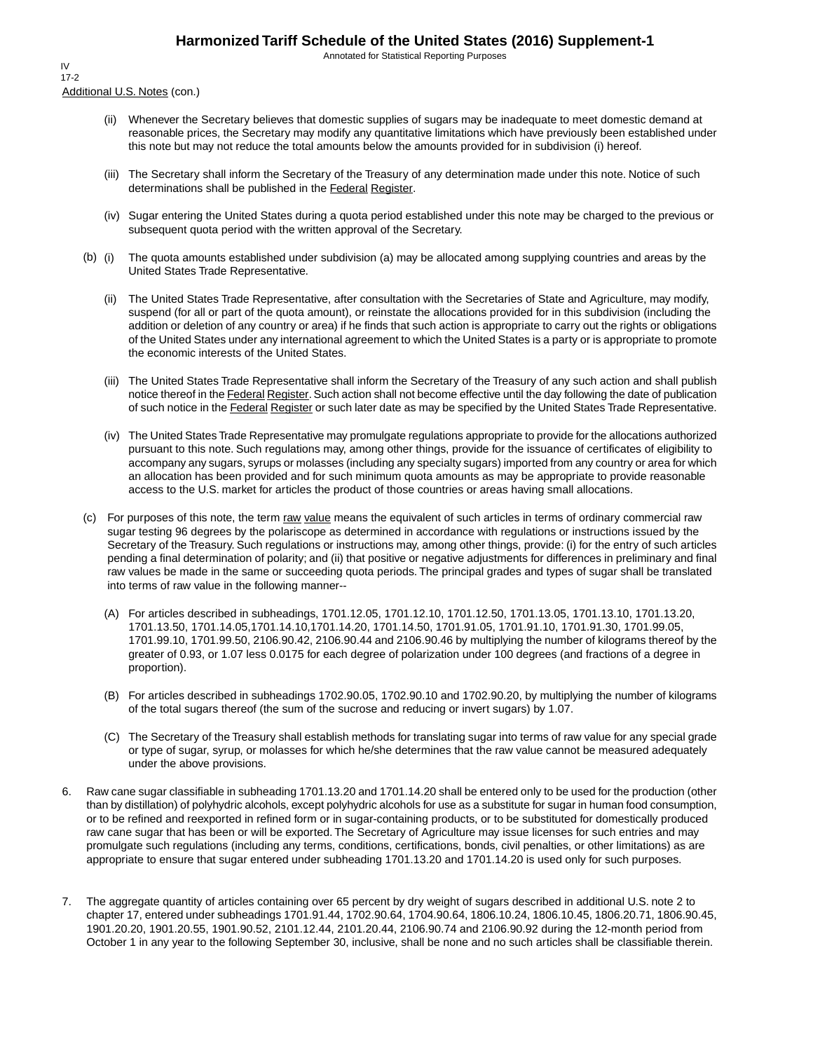Annotated for Statistical Reporting Purposes

Additional U.S. Notes (con.) IV 17-2

- (ii) Whenever the Secretary believes that domestic supplies of sugars may be inadequate to meet domestic demand at reasonable prices, the Secretary may modify any quantitative limitations which have previously been established under this note but may not reduce the total amounts below the amounts provided for in subdivision (i) hereof.
- (iii) The Secretary shall inform the Secretary of the Treasury of any determination made under this note. Notice of such determinations shall be published in the Federal Register.
- (iv) Sugar entering the United States during a quota period established under this note may be charged to the previous or subsequent quota period with the written approval of the Secretary.
- (b) (i) The quota amounts established under subdivision (a) may be allocated among supplying countries and areas by the United States Trade Representative.
	- (ii) The United States Trade Representative, after consultation with the Secretaries of State and Agriculture, may modify, suspend (for all or part of the quota amount), or reinstate the allocations provided for in this subdivision (including the addition or deletion of any country or area) if he finds that such action is appropriate to carry out the rights or obligations of the United States under any international agreement to which the United States is a party or is appropriate to promote the economic interests of the United States.
	- (iii) The United States Trade Representative shall inform the Secretary of the Treasury of any such action and shall publish notice thereof in the Federal Register. Such action shall not become effective until the day following the date of publication of such notice in the Federal Register or such later date as may be specified by the United States Trade Representative.
	- (iv) The United States Trade Representative may promulgate regulations appropriate to provide for the allocations authorized pursuant to this note. Such regulations may, among other things, provide for the issuance of certificates of eligibility to accompany any sugars, syrups or molasses (including any specialty sugars) imported from any country or area for which an allocation has been provided and for such minimum quota amounts as may be appropriate to provide reasonable access to the U.S. market for articles the product of those countries or areas having small allocations.
- (c) For purposes of this note, the term raw value means the equivalent of such articles in terms of ordinary commercial raw sugar testing 96 degrees by the polariscope as determined in accordance with regulations or instructions issued by the Secretary of the Treasury. Such regulations or instructions may, among other things, provide: (i) for the entry of such articles pending a final determination of polarity; and (ii) that positive or negative adjustments for differences in preliminary and final raw values be made in the same or succeeding quota periods. The principal grades and types of sugar shall be translated into terms of raw value in the following manner--
	- (A) For articles described in subheadings, 1701.12.05, 1701.12.10, 1701.12.50, 1701.13.05, 1701.13.10, 1701.13.20, 1701.13.50, 1701.14.05,1701.14.10,1701.14.20, 1701.14.50, 1701.91.05, 1701.91.10, 1701.91.30, 1701.99.05, 1701.99.10, 1701.99.50, 2106.90.42, 2106.90.44 and 2106.90.46 by multiplying the number of kilograms thereof by the greater of 0.93, or 1.07 less 0.0175 for each degree of polarization under 100 degrees (and fractions of a degree in proportion).
	- (B) For articles described in subheadings 1702.90.05, 1702.90.10 and 1702.90.20, by multiplying the number of kilograms of the total sugars thereof (the sum of the sucrose and reducing or invert sugars) by 1.07.
	- (C) The Secretary of the Treasury shall establish methods for translating sugar into terms of raw value for any special grade or type of sugar, syrup, or molasses for which he/she determines that the raw value cannot be measured adequately under the above provisions.
- 6. Raw cane sugar classifiable in subheading 1701.13.20 and 1701.14.20 shall be entered only to be used for the production (other than by distillation) of polyhydric alcohols, except polyhydric alcohols for use as a substitute for sugar in human food consumption, or to be refined and reexported in refined form or in sugar-containing products, or to be substituted for domestically produced raw cane sugar that has been or will be exported. The Secretary of Agriculture may issue licenses for such entries and may promulgate such regulations (including any terms, conditions, certifications, bonds, civil penalties, or other limitations) as are appropriate to ensure that sugar entered under subheading 1701.13.20 and 1701.14.20 is used only for such purposes.
- 7. The aggregate quantity of articles containing over 65 percent by dry weight of sugars described in additional U.S. note 2 to chapter 17, entered under subheadings 1701.91.44, 1702.90.64, 1704.90.64, 1806.10.24, 1806.10.45, 1806.20.71, 1806.90.45, 1901.20.20, 1901.20.55, 1901.90.52, 2101.12.44, 2101.20.44, 2106.90.74 and 2106.90.92 during the 12-month period from October 1 in any year to the following September 30, inclusive, shall be none and no such articles shall be classifiable therein.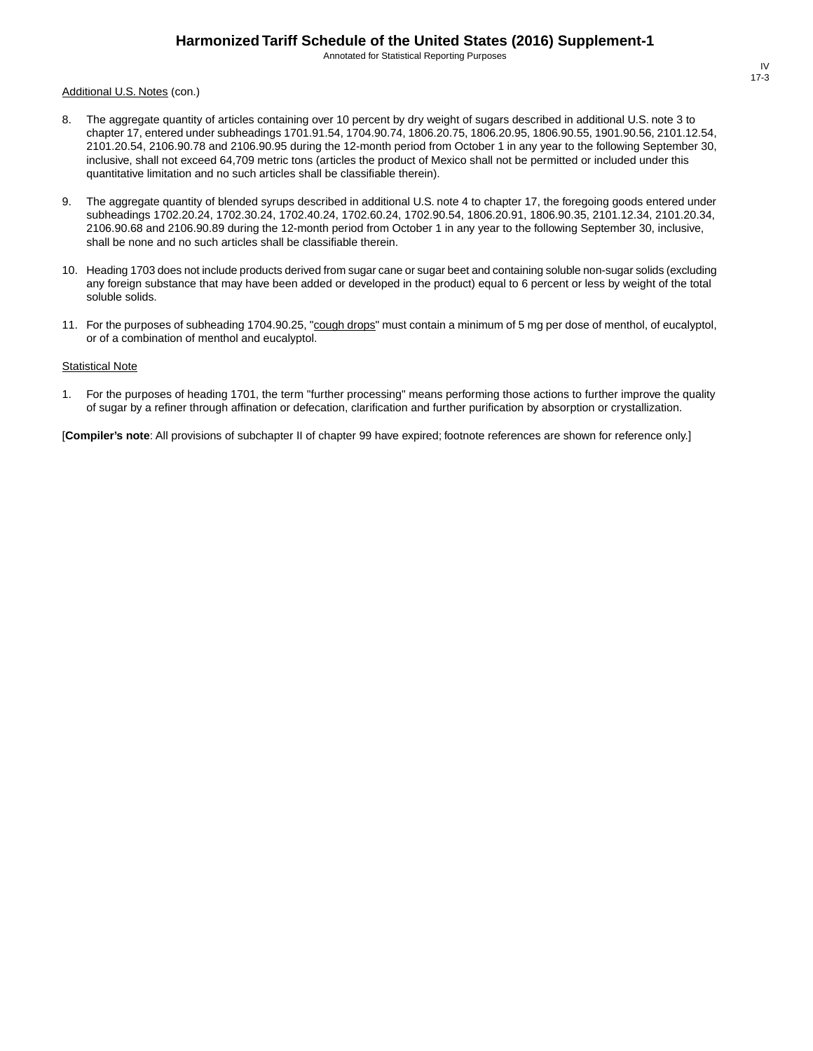Annotated for Statistical Reporting Purposes

Additional U.S. Notes (con.)

- 8. The aggregate quantity of articles containing over 10 percent by dry weight of sugars described in additional U.S. note 3 to chapter 17, entered under subheadings 1701.91.54, 1704.90.74, 1806.20.75, 1806.20.95, 1806.90.55, 1901.90.56, 2101.12.54, 2101.20.54, 2106.90.78 and 2106.90.95 during the 12-month period from October 1 in any year to the following September 30, inclusive, shall not exceed 64,709 metric tons (articles the product of Mexico shall not be permitted or included under this quantitative limitation and no such articles shall be classifiable therein).
- 9. The aggregate quantity of blended syrups described in additional U.S. note 4 to chapter 17, the foregoing goods entered under subheadings 1702.20.24, 1702.30.24, 1702.40.24, 1702.60.24, 1702.90.54, 1806.20.91, 1806.90.35, 2101.12.34, 2101.20.34, 2106.90.68 and 2106.90.89 during the 12-month period from October 1 in any year to the following September 30, inclusive, shall be none and no such articles shall be classifiable therein.
- 10. Heading 1703 does not include products derived from sugar cane or sugar beet and containing soluble non-sugar solids (excluding any foreign substance that may have been added or developed in the product) equal to 6 percent or less by weight of the total soluble solids.
- 11. For the purposes of subheading 1704.90.25, "cough drops" must contain a minimum of 5 mg per dose of menthol, of eucalyptol, or of a combination of menthol and eucalyptol.

#### **Statistical Note**

1. For the purposes of heading 1701, the term "further processing" means performing those actions to further improve the quality of sugar by a refiner through affination or defecation, clarification and further purification by absorption or crystallization.

[**Compiler's note**: All provisions of subchapter II of chapter 99 have expired; footnote references are shown for reference only.]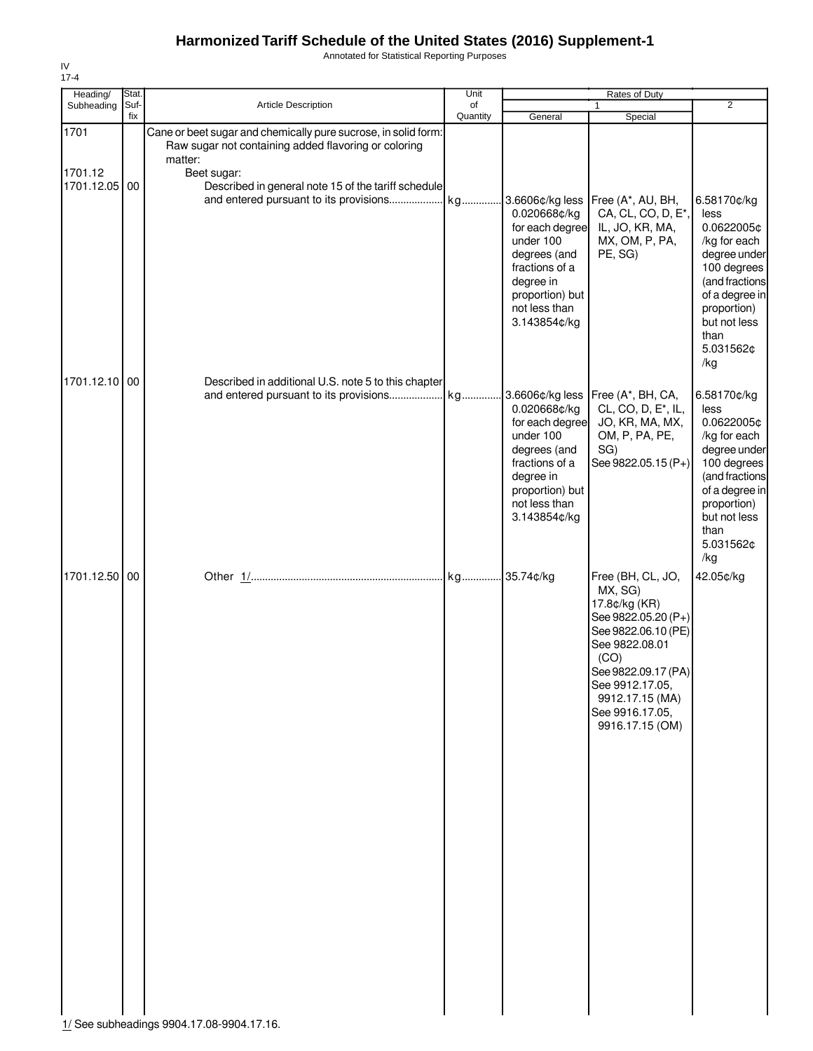Annotated for Statistical Reporting Purposes

| Heading/                      | Stat.       |                                                                                                                                                                                                         | Unit           |                                                                                                                                                                    | <b>Rates of Duty</b>                                                                                                                                                                                                     | $\overline{2}$                                                                                                                                                                  |
|-------------------------------|-------------|---------------------------------------------------------------------------------------------------------------------------------------------------------------------------------------------------------|----------------|--------------------------------------------------------------------------------------------------------------------------------------------------------------------|--------------------------------------------------------------------------------------------------------------------------------------------------------------------------------------------------------------------------|---------------------------------------------------------------------------------------------------------------------------------------------------------------------------------|
| Subheading                    | Suf-<br>fix | <b>Article Description</b>                                                                                                                                                                              | of<br>Quantity | General                                                                                                                                                            | $\mathbf{1}$<br>Special                                                                                                                                                                                                  |                                                                                                                                                                                 |
| 1701<br>1701.12<br>1701.12.05 | 00          | Cane or beet sugar and chemically pure sucrose, in solid form:<br>Raw sugar not containing added flavoring or coloring<br>matter:<br>Beet sugar:<br>Described in general note 15 of the tariff schedule |                | 3.6606¢/kg less<br>0.020668¢/kg<br>for each degree<br>under 100<br>degrees (and<br>fractions of a<br>degree in<br>proportion) but<br>not less than<br>3.143854¢/kg | Free (A*, AU, BH,<br>CA, CL, CO, D, E*,<br>IL, JO, KR, MA,<br>MX, OM, P, PA,<br>PE, SG)                                                                                                                                  | 6.58170¢/kg<br>less<br>0.0622005¢<br>/kg for each<br>degree under<br>100 degrees<br>(and fractions<br>of a degree in<br>proportion)<br>but not less<br>than<br>5.031562¢<br>/kg |
| 1701.12.10 00                 |             | Described in additional U.S. note 5 to this chapter<br>and entered pursuant to its provisions                                                                                                           | kg             | 3.6606¢/kg less<br>0.020668¢/kg<br>for each degree<br>under 100<br>degrees (and<br>fractions of a<br>degree in<br>proportion) but<br>not less than<br>3.143854¢/kg | Free (A*, BH, CA,<br>CL, CO, D, E <sup>*</sup> , IL,<br>JO, KR, MA, MX,<br>OM, P, PA, PE,<br>SG)<br>See 9822.05.15 (P+)                                                                                                  | 6.58170¢/kg<br>less<br>0.0622005¢<br>/kg for each<br>degree under<br>100 degrees<br>(and fractions<br>of a degree in<br>proportion)<br>but not less<br>than<br>5.031562¢<br>/kg |
| 1701.12.50 00                 |             | 1/ See subheadings 9904.17.08-9904.17.16.                                                                                                                                                               |                |                                                                                                                                                                    | Free (BH, CL, JO,<br>MX, SG)<br>17.8¢/kg (KR)<br>See 9822.05.20 (P+)<br>See 9822.06.10 (PE)<br>See 9822.08.01<br>(CO)<br>See 9822.09.17 (PA)<br>See 9912.17.05,<br>9912.17.15 (MA)<br>See 9916.17.05,<br>9916.17.15 (OM) | 42.05¢/kg                                                                                                                                                                       |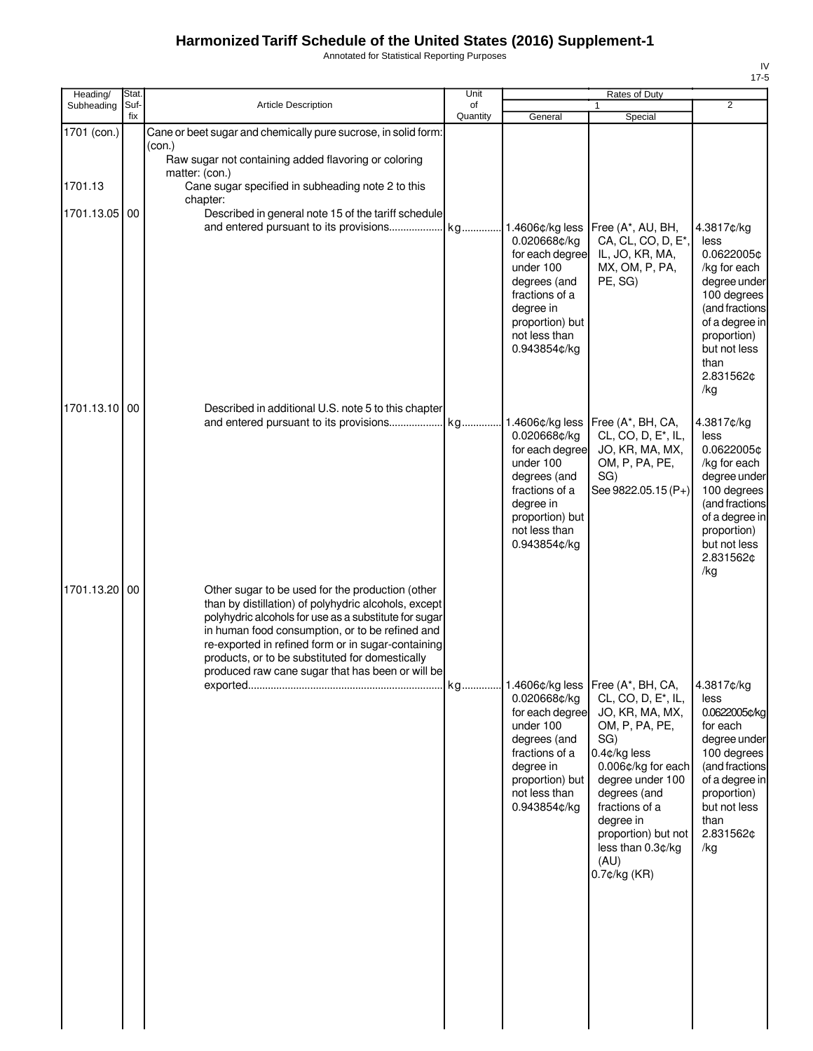Annotated for Statistical Reporting Purposes

| Heading/               | Stat.       |                                                                                                                                                                                                                                                                                                                                                                                   | Unit           |                                                                                                                                                                    | Rates of Duty                                                                                                                                                                                                                                                                    |                                                                                                                                                                               |
|------------------------|-------------|-----------------------------------------------------------------------------------------------------------------------------------------------------------------------------------------------------------------------------------------------------------------------------------------------------------------------------------------------------------------------------------|----------------|--------------------------------------------------------------------------------------------------------------------------------------------------------------------|----------------------------------------------------------------------------------------------------------------------------------------------------------------------------------------------------------------------------------------------------------------------------------|-------------------------------------------------------------------------------------------------------------------------------------------------------------------------------|
| Subheading             | Suf-<br>fix | <b>Article Description</b>                                                                                                                                                                                                                                                                                                                                                        | of<br>Quantity | General                                                                                                                                                            | 1<br>Special                                                                                                                                                                                                                                                                     | $\overline{2}$                                                                                                                                                                |
| 1701 (con.)<br>1701.13 |             | Cane or beet sugar and chemically pure sucrose, in solid form:<br>(con.)<br>Raw sugar not containing added flavoring or coloring<br>matter: (con.)<br>Cane sugar specified in subheading note 2 to this                                                                                                                                                                           |                |                                                                                                                                                                    |                                                                                                                                                                                                                                                                                  |                                                                                                                                                                               |
| 1701.13.05             | 00          | chapter:<br>Described in general note 15 of the tariff schedule                                                                                                                                                                                                                                                                                                                   |                | 1.4606¢/kg less<br>0.020668¢/kg                                                                                                                                    | Free (A*, AU, BH,<br>CA, CL, CO, D, E <sup>*</sup> ,                                                                                                                                                                                                                             | 4.3817¢/kg<br>less                                                                                                                                                            |
|                        |             |                                                                                                                                                                                                                                                                                                                                                                                   |                | for each degree<br>under 100<br>degrees (and<br>fractions of a<br>degree in<br>proportion) but<br>not less than<br>0.943854¢/kg                                    | IL, JO, KR, MA,<br>MX, OM, P, PA,<br>PE, SG)                                                                                                                                                                                                                                     | 0.0622005¢<br>/kg for each<br>degree under<br>100 degrees<br>(and fractions<br>of a degree in<br>proportion)<br>but not less<br>than<br>2.831562¢<br>/kg                      |
| 1701.13.10 00          |             | Described in additional U.S. note 5 to this chapter<br>and entered pursuant to its provisions                                                                                                                                                                                                                                                                                     | kg             | 1.4606¢/kg less<br>0.020668¢/kg<br>for each degree<br>under 100<br>degrees (and<br>fractions of a<br>degree in<br>proportion) but<br>not less than<br>0.943854¢/kg | Free (A*, BH, CA,<br>CL, CO, D, E <sup>*</sup> , IL,<br>JO, KR, MA, MX,<br>OM, P, PA, PE,<br>SG)<br>See 9822.05.15 (P+)                                                                                                                                                          | 4.3817¢/kg<br>less<br>0.0622005¢<br>/kg for each<br>degree under<br>100 degrees<br>(and fractions<br>of a degree in<br>proportion)<br>but not less<br>2.831562¢<br>/kg        |
| 1701.13.20 00          |             | Other sugar to be used for the production (other<br>than by distillation) of polyhydric alcohols, except<br>polyhydric alcohols for use as a substitute for sugar<br>in human food consumption, or to be refined and<br>re-exported in refined form or in sugar-containing<br>products, or to be substituted for domestically<br>produced raw cane sugar that has been or will be |                |                                                                                                                                                                    |                                                                                                                                                                                                                                                                                  |                                                                                                                                                                               |
|                        |             |                                                                                                                                                                                                                                                                                                                                                                                   |                | 0.020668¢/kg<br>for each degree<br>under 100<br>degrees (and<br>fractions of a<br>degree in<br>proportion) but<br>not less than<br>0.943854¢/kg                    | Free (A*, BH, CA,<br>CL, CO, D, E <sup>*</sup> , IL,<br>JO, KR, MA, MX,<br>OM, P, PA, PE,<br>SG)<br>0.4¢/kg less<br>0.006¢/kg for each<br>degree under 100<br>degrees (and<br>fractions of a<br>degree in<br>proportion) but not<br>less than 0.3¢/kg<br>(AU)<br>$0.7$ ¢/kg (KR) | 4.3817¢/kg<br>less<br>0.0622005¢/kg<br>for each<br>degree under<br>100 degrees<br>(and fractions<br>of a degree in<br>proportion)<br>but not less<br>than<br>2.831562¢<br>/kg |
|                        |             |                                                                                                                                                                                                                                                                                                                                                                                   |                |                                                                                                                                                                    |                                                                                                                                                                                                                                                                                  |                                                                                                                                                                               |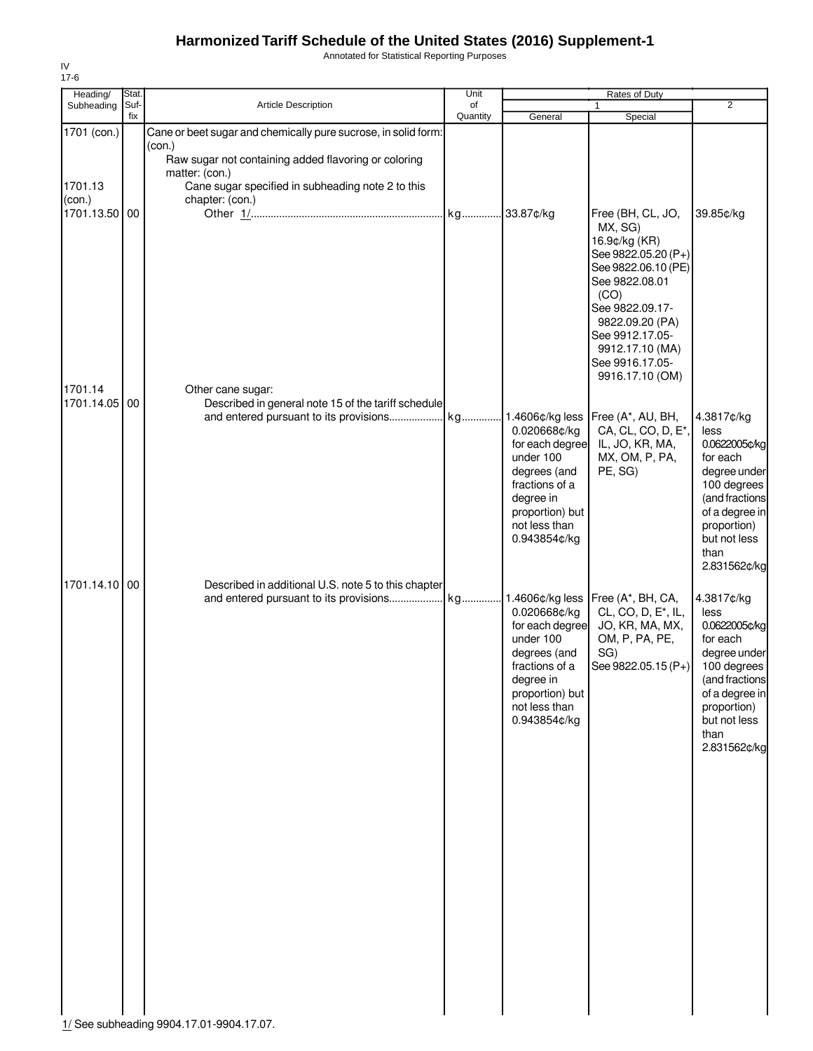Annotated for Statistical Reporting Purposes

| Heading/                                          | Stat.       |                                                                                                                                                                                                                            | Unit           |                                                                                                                                                                 | <b>Rates of Duty</b>                                                                                                                                                                                   |                                                                                                                                                                                                                   |
|---------------------------------------------------|-------------|----------------------------------------------------------------------------------------------------------------------------------------------------------------------------------------------------------------------------|----------------|-----------------------------------------------------------------------------------------------------------------------------------------------------------------|--------------------------------------------------------------------------------------------------------------------------------------------------------------------------------------------------------|-------------------------------------------------------------------------------------------------------------------------------------------------------------------------------------------------------------------|
| Subheading                                        | Suf-<br>fix | <b>Article Description</b>                                                                                                                                                                                                 | of<br>Quantity | General                                                                                                                                                         | 1<br>Special                                                                                                                                                                                           | $\overline{2}$                                                                                                                                                                                                    |
| 1701 (con.)<br>1701.13<br>(con.)<br>1701.13.50 00 |             | Cane or beet sugar and chemically pure sucrose, in solid form:<br>(con.)<br>Raw sugar not containing added flavoring or coloring<br>matter: (con.)<br>Cane sugar specified in subheading note 2 to this<br>chapter: (con.) |                | 33.87¢/kg                                                                                                                                                       | Free (BH, CL, JO,<br>MX, SG)<br>16.9¢/kg (KR)<br>See 9822.05.20 (P+)<br>See 9822.06.10 (PE)<br>See 9822.08.01<br>(CO)<br>See 9822.09.17-                                                               | 39.85¢/kg                                                                                                                                                                                                         |
| 1701.14<br>1701.14.05                             | 00          | Other cane sugar:<br>Described in general note 15 of the tariff schedule                                                                                                                                                   |                | 0.020668¢/kg<br>for each degree<br>under 100<br>degrees (and<br>fractions of a<br>degree in<br>proportion) but<br>not less than                                 | 9822.09.20 (PA)<br>See 9912.17.05-<br>9912.17.10 (MA)<br>See 9916.17.05-<br>9916.17.10 (OM)<br>1.4606¢/kg less Free (A*, AU, BH,<br>CA, CL, CO, D, E*,<br>IL, JO, KR, MA,<br>MX, OM, P, PA,<br>PE, SG) | 4.3817¢/kg<br>less<br>0.0622005¢/kg<br>for each<br>degree under<br>100 degrees<br>(and fractions<br>of a degree in<br>proportion)                                                                                 |
| 1701.14.10                                        | 00          | Described in additional U.S. note 5 to this chapter                                                                                                                                                                        |                | 0.943854¢/kg<br>0.020668¢/kg<br>for each degree<br>under 100<br>degrees (and<br>fractions of a<br>degree in<br>proportion) but<br>not less than<br>0.943854¢/kg | 1.4606¢/kg less   Free (A*, BH, CA,<br>CL, CO, D, E <sup>*</sup> , IL,<br>JO, KR, MA, MX,<br>OM, P, PA, PE,<br>SG)<br>See 9822.05.15 (P+)                                                              | but not less<br>than<br>2.831562¢/kg<br>4.3817¢/kg<br>less<br>0.0622005¢/kg<br>for each<br>degree under<br>100 degrees<br>(and fractions<br>of a degree in<br>proportion)<br>but not less<br>than<br>2.831562¢/kg |
|                                                   |             |                                                                                                                                                                                                                            |                |                                                                                                                                                                 |                                                                                                                                                                                                        |                                                                                                                                                                                                                   |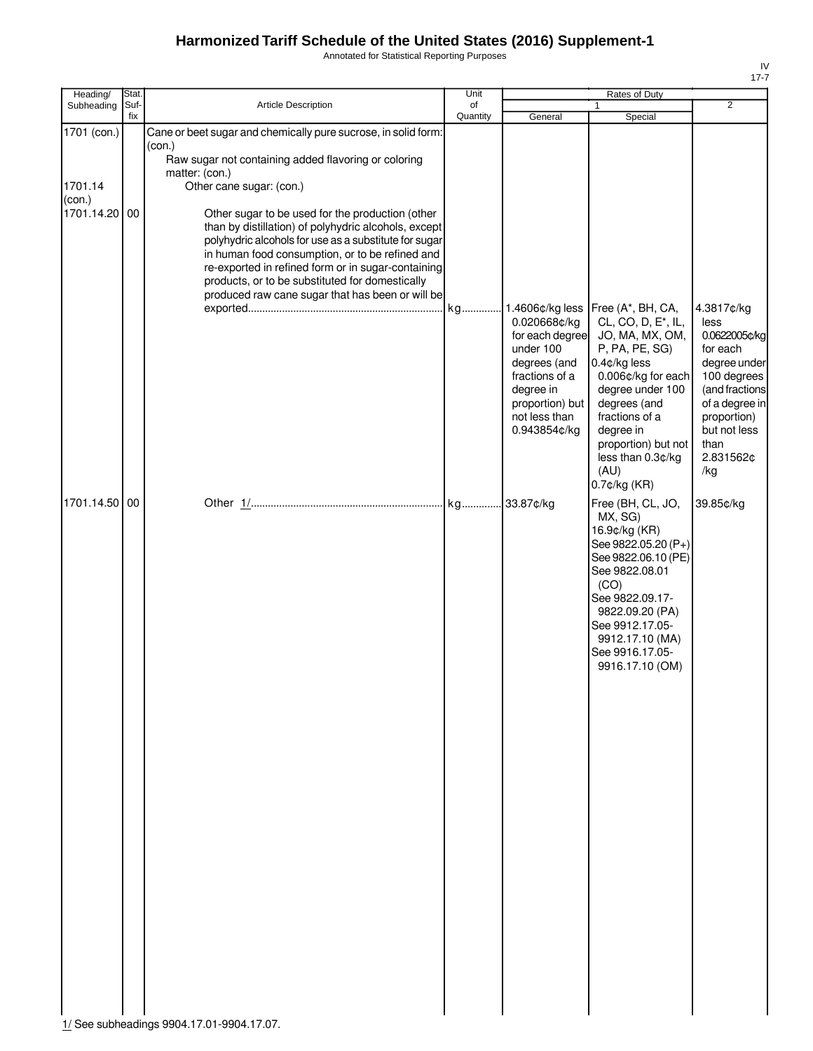Annotated for Statistical Reporting Purposes

| Heading/<br>Stat.                                 |                                                                                                                                                                                                                                                                                                                                                                                                                                                                                                                 | Unit           |                                                                                                                                                 | Rates of Duty                                                                                                                                                                                                                                                                |                                                                                                                                                                               |
|---------------------------------------------------|-----------------------------------------------------------------------------------------------------------------------------------------------------------------------------------------------------------------------------------------------------------------------------------------------------------------------------------------------------------------------------------------------------------------------------------------------------------------------------------------------------------------|----------------|-------------------------------------------------------------------------------------------------------------------------------------------------|------------------------------------------------------------------------------------------------------------------------------------------------------------------------------------------------------------------------------------------------------------------------------|-------------------------------------------------------------------------------------------------------------------------------------------------------------------------------|
| Suf-<br>Subheading<br>fix                         | <b>Article Description</b>                                                                                                                                                                                                                                                                                                                                                                                                                                                                                      | of<br>Quantity | General                                                                                                                                         | Special                                                                                                                                                                                                                                                                      | $\overline{2}$                                                                                                                                                                |
| 1701 (con.)<br>1701.14<br>(con.)<br>1701.14.20 00 | Cane or beet sugar and chemically pure sucrose, in solid form:<br>(con.)<br>Raw sugar not containing added flavoring or coloring<br>matter: (con.)<br>Other cane sugar: (con.)<br>Other sugar to be used for the production (other<br>than by distillation) of polyhydric alcohols, except<br>polyhydric alcohols for use as a substitute for sugar<br>in human food consumption, or to be refined and<br>re-exported in refined form or in sugar-containing<br>products, or to be substituted for domestically |                |                                                                                                                                                 |                                                                                                                                                                                                                                                                              |                                                                                                                                                                               |
|                                                   | produced raw cane sugar that has been or will be                                                                                                                                                                                                                                                                                                                                                                                                                                                                |                | 0.020668¢/kg<br>for each degree<br>under 100<br>degrees (and<br>fractions of a<br>degree in<br>proportion) but<br>not less than<br>0.943854¢/kg | Free (A*, BH, CA,<br>CL, CO, D, E <sup>*</sup> , IL,<br>JO, MA, MX, OM,<br>P, PA, PE, SG)<br>$0.4$ ¢/kg less<br>0.006¢/kg for each<br>degree under 100<br>degrees (and<br>fractions of a<br>degree in<br>proportion) but not<br>less than 0.3¢/kg<br>(AU)<br>$0.7$ ¢/kg (KR) | 4.3817¢/kg<br>less<br>0.0622005¢/kg<br>for each<br>degree under<br>100 degrees<br>(and fractions<br>of a degree in<br>proportion)<br>but not less<br>than<br>2.831562¢<br>/kg |
| 1701.14.50 00                                     |                                                                                                                                                                                                                                                                                                                                                                                                                                                                                                                 |                |                                                                                                                                                 | Free (BH, CL, JO,<br>MX, SG)<br>16.9¢/kg (KR)<br>See 9822.05.20 (P+)<br>See 9822.06.10 (PE)<br>See 9822.08.01<br>(CO)<br>See 9822.09.17-<br>9822.09.20 (PA)<br>See 9912.17.05-<br>9912.17.10 (MA)<br>See 9916.17.05-<br>9916.17.10 (OM)                                      | 39.85¢/kg                                                                                                                                                                     |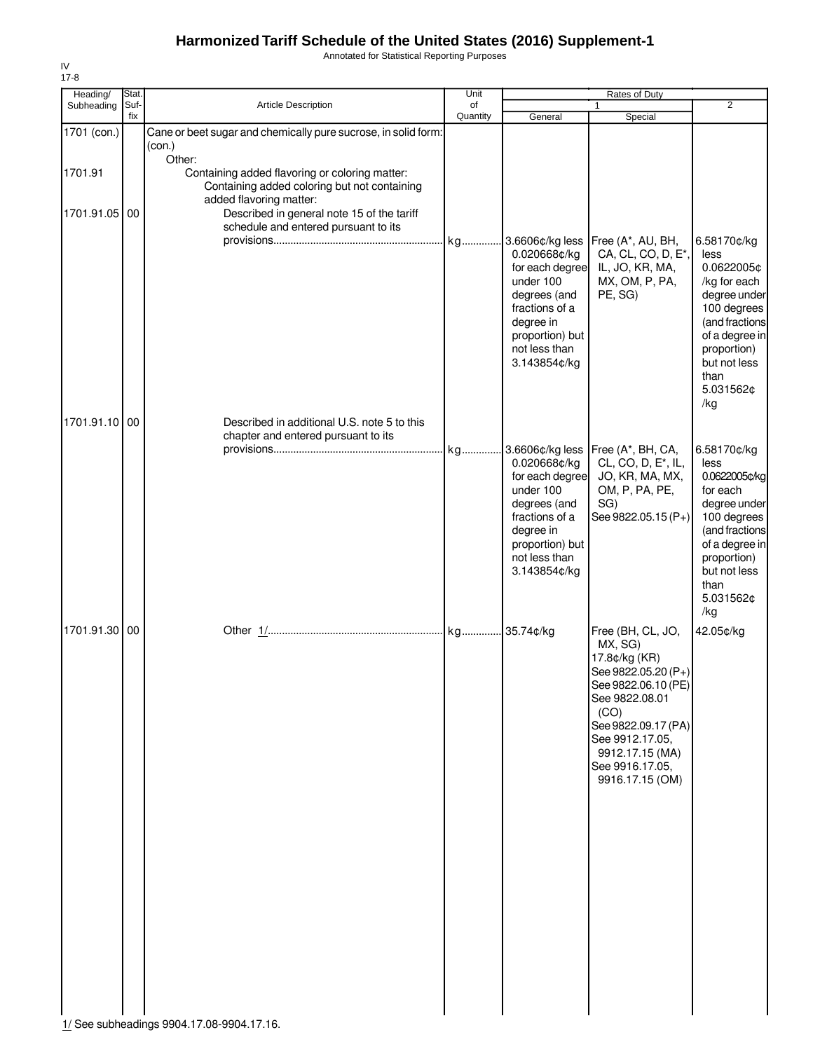Annotated for Statistical Reporting Purposes

| Heading/               | Stat.       |                                                                                                                                                                                                                 | Unit<br>of |                                                                                                                                                 | Rates of Duty                                                                                                                                                                                                            | $\overline{2}$                                                                                                                                                                 |
|------------------------|-------------|-----------------------------------------------------------------------------------------------------------------------------------------------------------------------------------------------------------------|------------|-------------------------------------------------------------------------------------------------------------------------------------------------|--------------------------------------------------------------------------------------------------------------------------------------------------------------------------------------------------------------------------|--------------------------------------------------------------------------------------------------------------------------------------------------------------------------------|
| Subheading             | Suf-<br>fix | Article Description                                                                                                                                                                                             | Quantity   | General                                                                                                                                         | 1<br>Special                                                                                                                                                                                                             |                                                                                                                                                                                |
| 1701 (con.)<br>1701.91 |             | Cane or beet sugar and chemically pure sucrose, in solid form:<br>(con.)<br>Other:                                                                                                                              |            |                                                                                                                                                 |                                                                                                                                                                                                                          |                                                                                                                                                                                |
| 1701.91.05 00          |             | Containing added flavoring or coloring matter:<br>Containing added coloring but not containing<br>added flavoring matter:<br>Described in general note 15 of the tariff<br>schedule and entered pursuant to its |            | 0.020668¢/kg                                                                                                                                    | 3.6606¢/kg less   Free (A*, AU, BH,<br>CA, CL, CO, D, E <sup>*</sup> ,                                                                                                                                                   | 6.58170¢/kg<br>less                                                                                                                                                            |
| 1701.91.10 00          |             | Described in additional U.S. note 5 to this                                                                                                                                                                     |            | for each degree<br>under 100<br>degrees (and<br>fractions of a<br>degree in<br>proportion) but<br>not less than<br>3.143854¢/kg                 | IL, JO, KR, MA,<br>MX, OM, P, PA,<br>PE, SG)                                                                                                                                                                             | 0.0622005¢<br>/kg for each<br>degree under<br>100 degrees<br>(and fractions<br>of a degree in<br>proportion)<br>but not less<br>than<br>5.031562¢<br>/kg                       |
|                        |             | chapter and entered pursuant to its                                                                                                                                                                             |            |                                                                                                                                                 |                                                                                                                                                                                                                          |                                                                                                                                                                                |
|                        |             |                                                                                                                                                                                                                 |            | 0.020668¢/kg<br>for each degree<br>under 100<br>degrees (and<br>fractions of a<br>degree in<br>proportion) but<br>not less than<br>3.143854¢/kg | Free (A*, BH, CA,<br>CL, CO, D, E <sup>*</sup> , IL,<br>JO, KR, MA, MX,<br>OM, P, PA, PE,<br>SG)<br>See 9822.05.15 (P+)                                                                                                  | 6.58170¢/kg<br>less<br>0.0622005¢/kg<br>for each<br>degree under<br>100 degrees<br>(and fractions<br>of a degree in<br>proportion)<br>but not less<br>than<br>5.031562¢<br>/kg |
| 1701.91.30 00          |             |                                                                                                                                                                                                                 |            |                                                                                                                                                 | Free (BH, CL, JO,<br>MX, SG)<br>17.8¢/kg (KR)<br>See 9822.05.20 (P+)<br>See 9822.06.10 (PE)<br>See 9822.08.01<br>(CO)<br>See 9822.09.17 (PA)<br>See 9912.17.05,<br>9912.17.15 (MA)<br>See 9916.17.05,<br>9916.17.15 (OM) | 42.05¢/kg                                                                                                                                                                      |

IV 17-8

1/ See subheadings 9904.17.08-9904.17.16.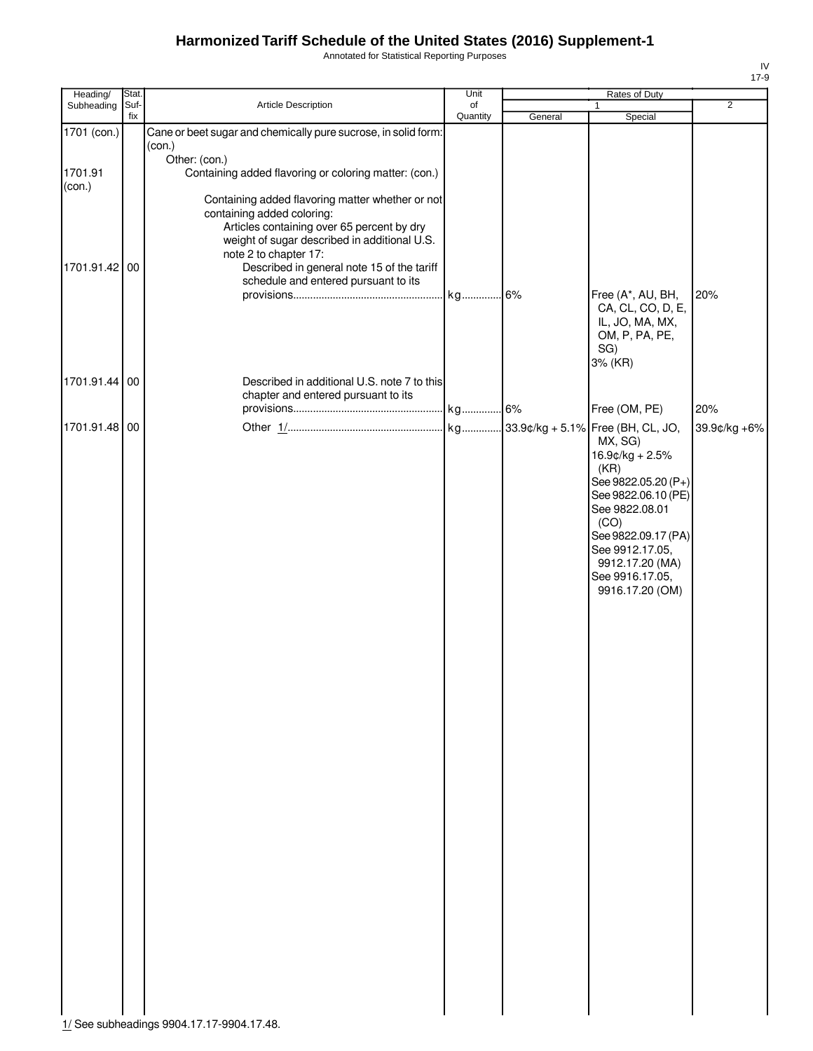Annotated for Statistical Reporting Purposes

| Heading/          | Stat.       |                                                                                                                                                                                                                                                     | Unit           |         | Rates of Duty                                                                                                                                                                                                 |                |
|-------------------|-------------|-----------------------------------------------------------------------------------------------------------------------------------------------------------------------------------------------------------------------------------------------------|----------------|---------|---------------------------------------------------------------------------------------------------------------------------------------------------------------------------------------------------------------|----------------|
| Subheading        | Suf-<br>fix | Article Description                                                                                                                                                                                                                                 | of<br>Quantity | General | $\mathbf{1}$<br>Special                                                                                                                                                                                       | $\overline{2}$ |
| 1701 (con.)       |             | Cane or beet sugar and chemically pure sucrose, in solid form:<br>(con.)                                                                                                                                                                            |                |         |                                                                                                                                                                                                               |                |
| 1701.91<br>(con.) |             | Other: (con.)<br>Containing added flavoring or coloring matter: (con.)                                                                                                                                                                              |                |         |                                                                                                                                                                                                               |                |
| 1701.91.42 00     |             | Containing added flavoring matter whether or not<br>containing added coloring:<br>Articles containing over 65 percent by dry<br>weight of sugar described in additional U.S.<br>note 2 to chapter 17:<br>Described in general note 15 of the tariff |                |         |                                                                                                                                                                                                               |                |
|                   |             | schedule and entered pursuant to its                                                                                                                                                                                                                |                |         | Free (A*, AU, BH,<br>CA, CL, CO, D, E,<br>IL, JO, MA, MX,<br>OM, P, PA, PE,<br>SG)<br>3% (KR)                                                                                                                 | 20%            |
| 1701.91.44 00     |             | Described in additional U.S. note 7 to this<br>chapter and entered pursuant to its                                                                                                                                                                  |                |         | Free (OM, PE)                                                                                                                                                                                                 | 20%            |
| 1701.91.48 00     |             |                                                                                                                                                                                                                                                     |                |         | MX, SG)<br>16.9¢/kg + 2.5%<br>(KR)<br>See 9822.05.20 (P+)<br>See 9822.06.10 (PE)<br>See 9822.08.01<br>(CO)<br>See 9822.09.17 (PA)<br>See 9912.17.05,<br>9912.17.20 (MA)<br>See 9916.17.05,<br>9916.17.20 (OM) | 39.9¢/kg +6%   |
|                   |             |                                                                                                                                                                                                                                                     |                |         |                                                                                                                                                                                                               |                |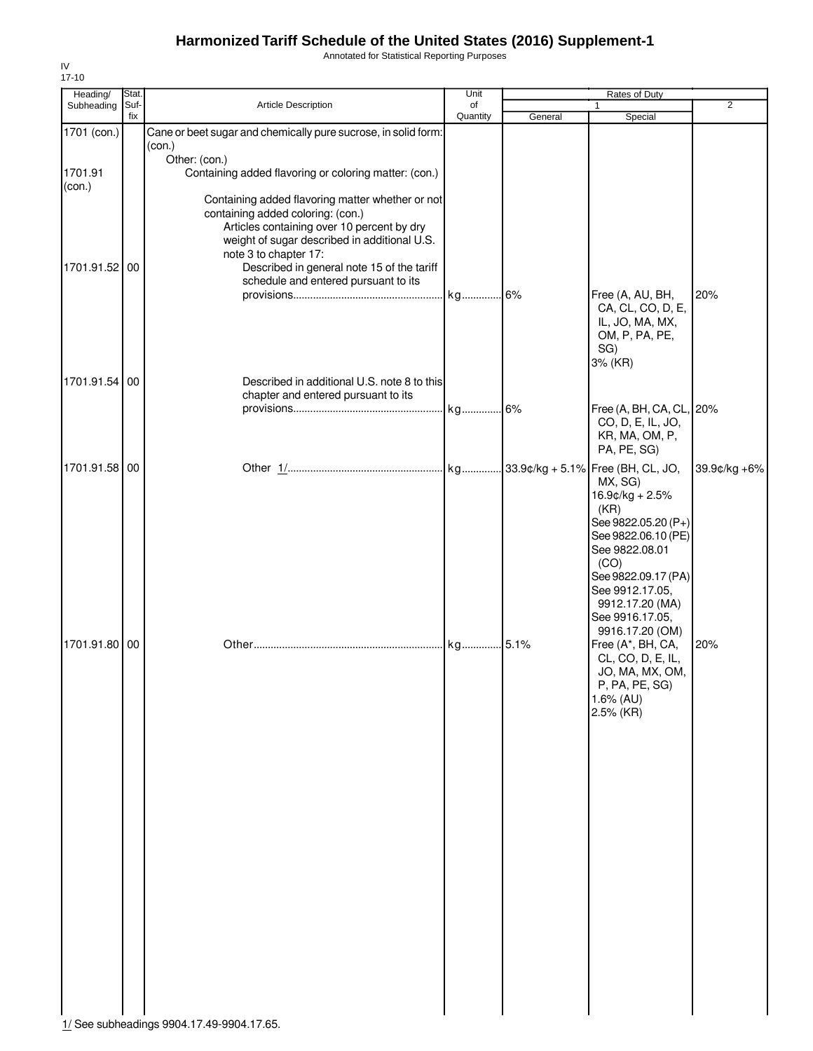Annotated for Statistical Reporting Purposes

| Heading/          | Stat.       |                                                                                                                                                                                                                                                                                                    | Unit           |         | Rates of Duty                                                                                                                                                                              |                |
|-------------------|-------------|----------------------------------------------------------------------------------------------------------------------------------------------------------------------------------------------------------------------------------------------------------------------------------------------------|----------------|---------|--------------------------------------------------------------------------------------------------------------------------------------------------------------------------------------------|----------------|
| Subheading        | Suf-<br>fix | Article Description                                                                                                                                                                                                                                                                                | of<br>Quantity | General | 1<br>Special                                                                                                                                                                               | $\overline{2}$ |
| 1701 (con.)       |             | Cane or beet sugar and chemically pure sucrose, in solid form:<br>(con.)                                                                                                                                                                                                                           |                |         |                                                                                                                                                                                            |                |
| 1701.91<br>(con.) |             | Other: (con.)<br>Containing added flavoring or coloring matter: (con.)                                                                                                                                                                                                                             |                |         |                                                                                                                                                                                            |                |
| 1701.91.52 00     |             | Containing added flavoring matter whether or not<br>containing added coloring: (con.)<br>Articles containing over 10 percent by dry<br>weight of sugar described in additional U.S.<br>note 3 to chapter 17:<br>Described in general note 15 of the tariff<br>schedule and entered pursuant to its |                |         |                                                                                                                                                                                            |                |
|                   |             |                                                                                                                                                                                                                                                                                                    |                |         | Free (A, AU, BH,<br>CA, CL, CO, D, E,<br>IL, JO, MA, MX,<br>OM, P, PA, PE,<br>SG)<br>3% (KR)                                                                                               | 20%            |
| 1701.91.54 00     |             | Described in additional U.S. note 8 to this                                                                                                                                                                                                                                                        |                |         |                                                                                                                                                                                            |                |
|                   |             | chapter and entered pursuant to its                                                                                                                                                                                                                                                                |                |         | Free (A, BH, CA, CL, 20%<br>CO, D, E, IL, JO,<br>KR, MA, OM, P,<br>PA, PE, SG)                                                                                                             |                |
| 1701.91.58 00     |             |                                                                                                                                                                                                                                                                                                    |                |         | MX, SG)<br>16.9¢/kg + 2.5%<br>(KR)<br>See 9822.05.20 (P+)<br>See 9822.06.10 (PE)<br>See 9822.08.01<br>(CO)<br>See 9822.09.17 (PA)<br>See 9912.17.05,<br>9912.17.20 (MA)<br>See 9916.17.05, | 39.9¢/kg +6%   |
| 1701.91.80 00     |             |                                                                                                                                                                                                                                                                                                    |                |         | 9916.17.20 (OM)<br>Free (A*, BH, CA,<br>CL, CO, D, E, IL,<br>JO, MA, MX, OM,<br>P, PA, PE, SG)<br>1.6% (AU)<br>2.5% (KR)                                                                   | 20%            |
|                   |             |                                                                                                                                                                                                                                                                                                    |                |         |                                                                                                                                                                                            |                |
|                   |             | 1/ Soo subboadings 0004 17 40 0004 17 65                                                                                                                                                                                                                                                           |                |         |                                                                                                                                                                                            |                |

IV 17-10

1/ See subheadings 9904.17.49-9904.17.65.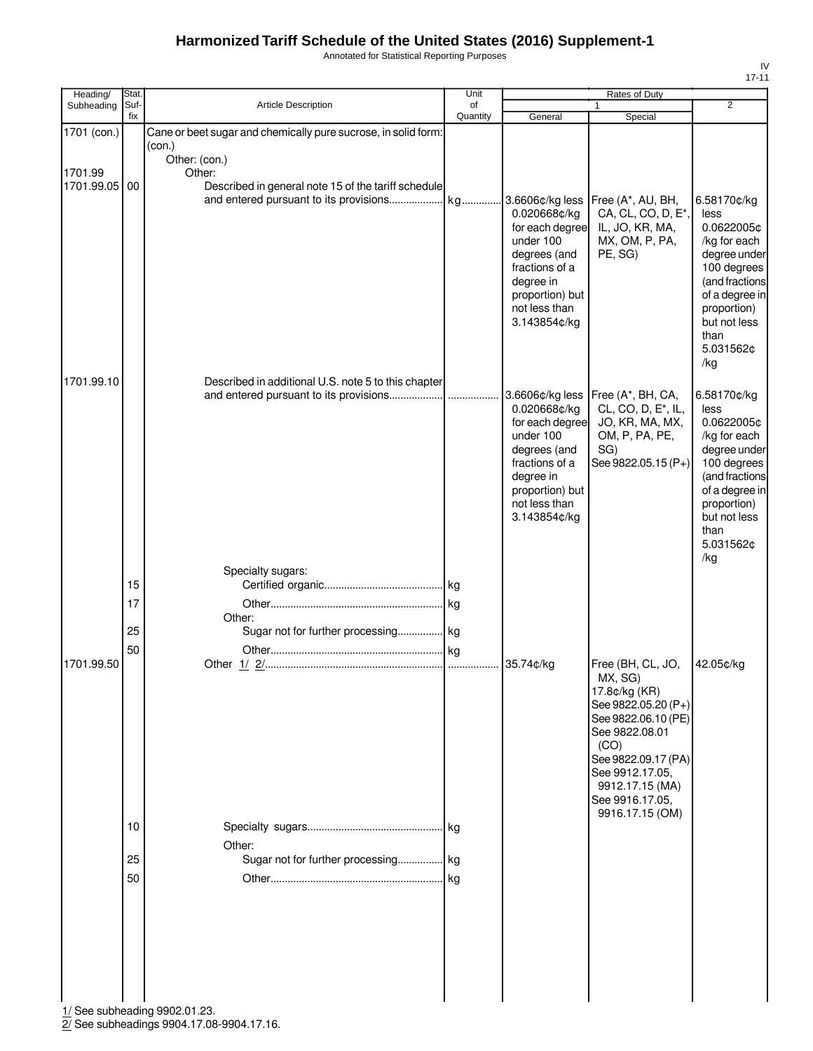Annotated for Statistical Reporting Purposes

| Heading/                             | Stat.                |                                                                                                                                                            | Unit           |                                                                                                                                                                    | Rates of Duty                                                                                                           |                                                                                                                                                                                        |
|--------------------------------------|----------------------|------------------------------------------------------------------------------------------------------------------------------------------------------------|----------------|--------------------------------------------------------------------------------------------------------------------------------------------------------------------|-------------------------------------------------------------------------------------------------------------------------|----------------------------------------------------------------------------------------------------------------------------------------------------------------------------------------|
| Subheading                           | Suf-<br>fix          | Article Description                                                                                                                                        | of<br>Quantity | General                                                                                                                                                            | 1<br>Special                                                                                                            | $\overline{2}$                                                                                                                                                                         |
| 1701 (con.)<br>1701.99<br>1701.99.05 | 00                   | Cane or beet sugar and chemically pure sucrose, in solid form:<br>(con.)<br>Other: (con.)<br>Other:<br>Described in general note 15 of the tariff schedule |                | 3.6606¢/kg less<br>0.020668¢/kg<br>for each degree<br>under 100<br>degrees (and<br>fractions of a<br>degree in<br>proportion) but<br>not less than<br>3.143854¢/kg | Free (A*, AU, BH,<br>CA, CL, CO, D, E*,<br>IL, JO, KR, MA,<br>MX, OM, P, PA,<br>PE, SG)                                 | 6.58170¢/kg<br>less<br>0.0622005¢<br>/kg for each<br>degree under<br>100 degrees<br>(and fractions<br>of a degree in<br>proportion)<br>but not less<br>than<br>5.031562¢               |
| 1701.99.10                           |                      | Described in additional U.S. note 5 to this chapter                                                                                                        |                | 3.6606¢/kg less<br>0.020668¢/kg<br>for each degree<br>under 100<br>degrees (and<br>fractions of a<br>degree in<br>proportion) but<br>not less than<br>3.143854¢/kg | Free (A*, BH, CA,<br>CL, CO, D, E <sup>*</sup> , IL,<br>JO, KR, MA, MX,<br>OM, P, PA, PE,<br>SG)<br>See 9822.05.15 (P+) | /kg<br>6.58170¢/kg<br>less<br>0.0622005¢<br>/kg for each<br>degree under<br>100 degrees<br>(and fractions<br>of a degree in<br>proportion)<br>but not less<br>than<br>5.031562¢<br>/kg |
| 1701.99.50                           | 15<br>17<br>25<br>50 | Specialty sugars:<br>Other:<br>Sugar not for further processing kg                                                                                         |                | 35.74¢/kg                                                                                                                                                          | Free (BH, CL, JO,<br>MX, SG)<br>17.8¢/kg (KR)<br>See 9822.05.20 (P+)<br>See 9822.06.10 (PE)<br>See 9822.08.01           | 42.05¢/kg                                                                                                                                                                              |
|                                      | 10<br>25<br>50       | Other:<br>Sugar not for further processing kg                                                                                                              |                |                                                                                                                                                                    | (CO)<br>See 9822.09.17 (PA)<br>See 9912.17.05,<br>9912.17.15 (MA)<br>See 9916.17.05,<br>9916.17.15 (OM)                 |                                                                                                                                                                                        |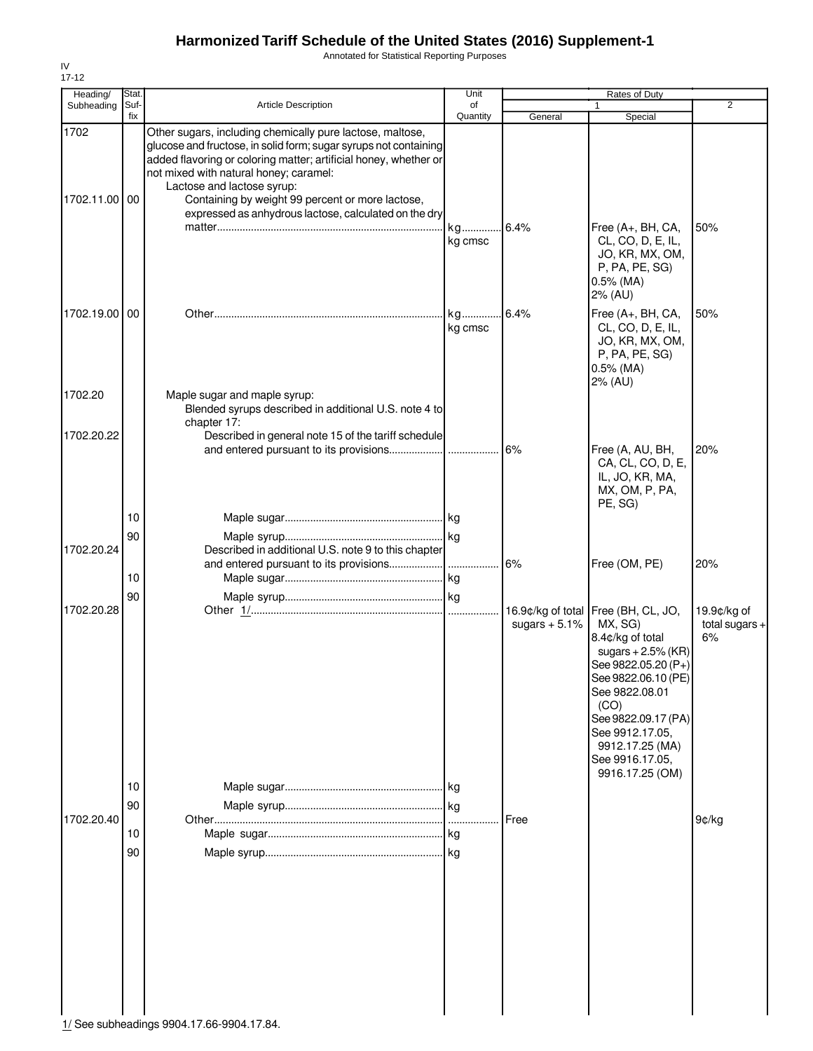Annotated for Statistical Reporting Purposes

| Heading/              | Stat.       |                                                                                                                                                                                                                                                                                                                                                                                        | Unit           |                 | Rates of Duty                                                                                                                                                                                                                                                         |                                       |
|-----------------------|-------------|----------------------------------------------------------------------------------------------------------------------------------------------------------------------------------------------------------------------------------------------------------------------------------------------------------------------------------------------------------------------------------------|----------------|-----------------|-----------------------------------------------------------------------------------------------------------------------------------------------------------------------------------------------------------------------------------------------------------------------|---------------------------------------|
| Subheading            | Suf-<br>fix | <b>Article Description</b>                                                                                                                                                                                                                                                                                                                                                             | οf<br>Quantity | General         | 1<br>Special                                                                                                                                                                                                                                                          | 2                                     |
| 1702<br>1702.11.00 00 |             | Other sugars, including chemically pure lactose, maltose,<br>glucose and fructose, in solid form; sugar syrups not containing<br>added flavoring or coloring matter; artificial honey, whether or<br>not mixed with natural honey; caramel:<br>Lactose and lactose syrup:<br>Containing by weight 99 percent or more lactose,<br>expressed as anhydrous lactose, calculated on the dry | kg<br>kg cmsc  | 6.4%            | Free (A+, BH, CA,<br>CL, CO, D, E, IL,<br>JO, KR, MX, OM,<br>P, PA, PE, SG)<br>$0.5\%$ (MA)                                                                                                                                                                           | 50%                                   |
| 1702.19.00 00         |             |                                                                                                                                                                                                                                                                                                                                                                                        | kg<br>kg cmsc  | 6.4%            | 2% (AU)<br>Free (A+, BH, CA,<br>CL, CO, D, E, IL,<br>JO, KR, MX, OM,<br>P, PA, PE, SG)<br>$0.5\%$ (MA)<br>2% (AU)                                                                                                                                                     | 50%                                   |
| 1702.20               |             | Maple sugar and maple syrup:<br>Blended syrups described in additional U.S. note 4 to                                                                                                                                                                                                                                                                                                  |                |                 |                                                                                                                                                                                                                                                                       |                                       |
| 1702.20.22            |             | chapter 17:<br>Described in general note 15 of the tariff schedule                                                                                                                                                                                                                                                                                                                     |                | .6%             | Free (A, AU, BH,<br>CA, CL, CO, D, E,<br>IL, JO, KR, MA,<br>MX, OM, P, PA,<br>PE, SG)                                                                                                                                                                                 | 20%                                   |
|                       | 10          |                                                                                                                                                                                                                                                                                                                                                                                        |                |                 |                                                                                                                                                                                                                                                                       |                                       |
| 1702.20.24            | 90          | Described in additional U.S. note 9 to this chapter                                                                                                                                                                                                                                                                                                                                    |                | 6%              | Free (OM, PE)                                                                                                                                                                                                                                                         | 20%                                   |
|                       | 10<br>90    |                                                                                                                                                                                                                                                                                                                                                                                        |                |                 |                                                                                                                                                                                                                                                                       |                                       |
| 1702.20.28            |             |                                                                                                                                                                                                                                                                                                                                                                                        |                | sugars $+5.1\%$ | 16.9¢/kg of total Free (BH, CL, JO,<br>MX, SG)<br>8.4¢/kg of total<br>sugars $+2.5\%$ (KR)<br>See 9822.05.20 (P+)<br>See 9822.06.10 (PE)<br>See 9822.08.01<br>(CO)<br>See 9822.09.17 (PA)<br>See 9912.17.05,<br>9912.17.25 (MA)<br>See 9916.17.05,<br>9916.17.25 (OM) | 19.9¢/kg of<br>total sugars $+$<br>6% |
|                       | 10          |                                                                                                                                                                                                                                                                                                                                                                                        |                |                 |                                                                                                                                                                                                                                                                       |                                       |
| 1702.20.40            | 90<br>10    |                                                                                                                                                                                                                                                                                                                                                                                        |                | Free            |                                                                                                                                                                                                                                                                       | 9¢/kg                                 |
|                       | 90          | 1/ See subheadings 9904.17.66-9904.17.84.                                                                                                                                                                                                                                                                                                                                              |                |                 |                                                                                                                                                                                                                                                                       |                                       |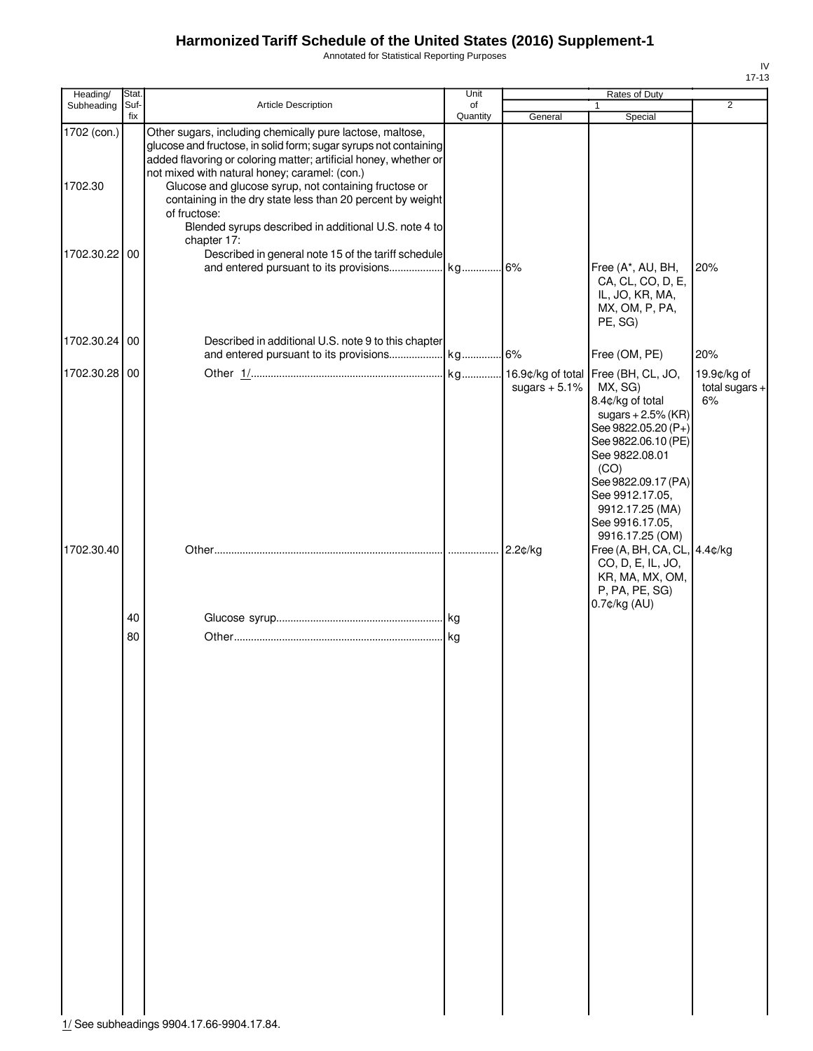Annotated for Statistical Reporting Purposes

| Heading/      | Stat.       |                                                                                                                                                                                                                                                    | Unit           |                 | Rates of Duty                                                                                                                                                                                                                  |                                       |
|---------------|-------------|----------------------------------------------------------------------------------------------------------------------------------------------------------------------------------------------------------------------------------------------------|----------------|-----------------|--------------------------------------------------------------------------------------------------------------------------------------------------------------------------------------------------------------------------------|---------------------------------------|
| Subheading    | Suf-<br>fix | <b>Article Description</b>                                                                                                                                                                                                                         | of<br>Quantity | General         | 1<br>Special                                                                                                                                                                                                                   | $\overline{2}$                        |
| 1702 (con.)   |             | Other sugars, including chemically pure lactose, maltose,<br>glucose and fructose, in solid form; sugar syrups not containing<br>added flavoring or coloring matter; artificial honey, whether or<br>not mixed with natural honey; caramel: (con.) |                |                 |                                                                                                                                                                                                                                |                                       |
| 1702.30       |             | Glucose and glucose syrup, not containing fructose or<br>containing in the dry state less than 20 percent by weight<br>of fructose:<br>Blended syrups described in additional U.S. note 4 to<br>chapter 17:                                        |                |                 |                                                                                                                                                                                                                                |                                       |
| 1702.30.22 00 |             | Described in general note 15 of the tariff schedule                                                                                                                                                                                                |                |                 | Free (A*, AU, BH,<br>CA, CL, CO, D, E,<br>IL, JO, KR, MA,<br>MX, OM, P, PA,<br>PE, SG)                                                                                                                                         | 20%                                   |
| 1702.30.24 00 |             | Described in additional U.S. note 9 to this chapter                                                                                                                                                                                                |                |                 | Free (OM, PE)                                                                                                                                                                                                                  | 20%                                   |
| 1702.30.28 00 |             |                                                                                                                                                                                                                                                    |                | sugars $+5.1\%$ | MX, SG)<br>8.4¢/kg of total<br>sugars $+2.5\%$ (KR)<br>See 9822.05.20 (P+)<br>See 9822.06.10 (PE)<br>See 9822.08.01<br>(CO)<br>See 9822.09.17 (PA)<br>See 9912.17.05,<br>9912.17.25 (MA)<br>See 9916.17.05,<br>9916.17.25 (OM) | 19.9¢/kg of<br>total sugars $+$<br>6% |
| 1702.30.40    |             |                                                                                                                                                                                                                                                    |                | 2.2¢/kg         | Free (A, BH, CA, CL, 4.4¢/kg<br>CO, D, E, IL, JO,<br>KR, MA, MX, OM,<br>P, PA, PE, SG)<br>$0.7$ ¢/kg $(AU)$                                                                                                                    |                                       |
|               | 40          |                                                                                                                                                                                                                                                    |                |                 |                                                                                                                                                                                                                                |                                       |
|               | 80          |                                                                                                                                                                                                                                                    |                |                 |                                                                                                                                                                                                                                |                                       |

1/ See subheadings 9904.17.66-9904.17.84.

IV 17-13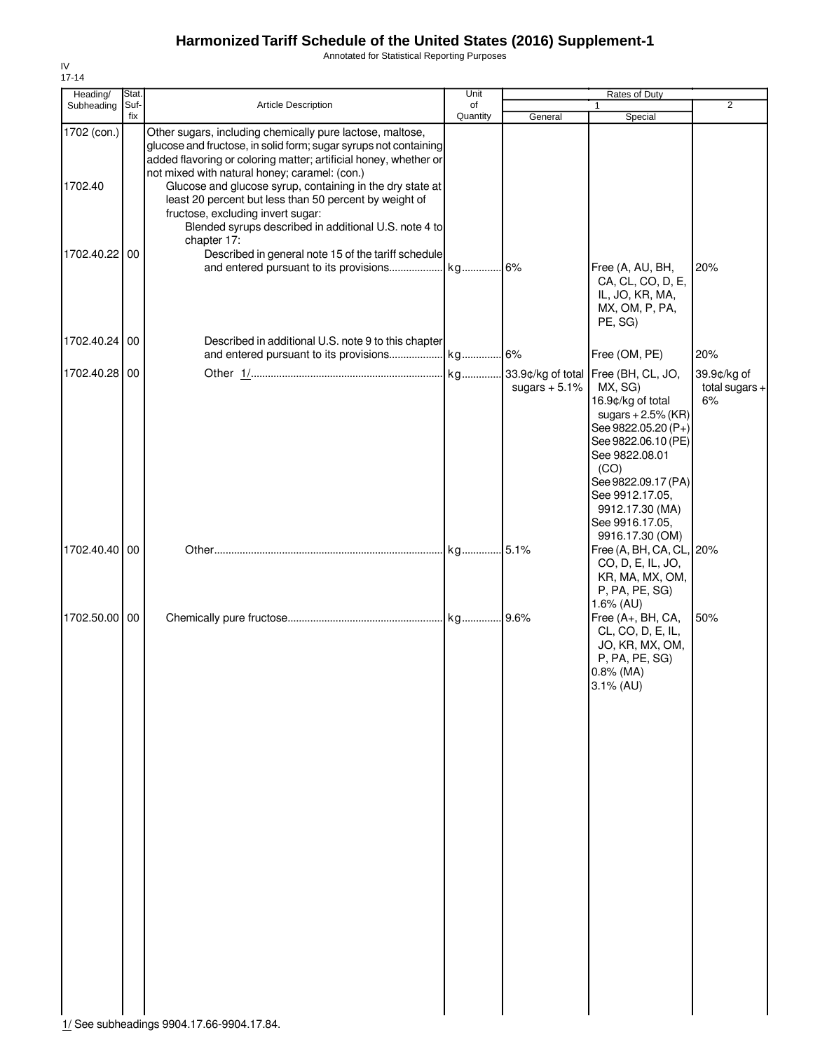Annotated for Statistical Reporting Purposes

| Suf-          |                                                                                                                                                                                                                                                                               |             |                                                                                                                                                                                                                                                           |                                                                                                                                                                                                          |                                                                         |
|---------------|-------------------------------------------------------------------------------------------------------------------------------------------------------------------------------------------------------------------------------------------------------------------------------|-------------|-----------------------------------------------------------------------------------------------------------------------------------------------------------------------------------------------------------------------------------------------------------|----------------------------------------------------------------------------------------------------------------------------------------------------------------------------------------------------------|-------------------------------------------------------------------------|
| fix           | Article Description                                                                                                                                                                                                                                                           | of          |                                                                                                                                                                                                                                                           | $\mathbf{1}$                                                                                                                                                                                             | $\overline{2}$                                                          |
|               | Other sugars, including chemically pure lactose, maltose,<br>added flavoring or coloring matter; artificial honey, whether or<br>not mixed with natural honey; caramel: (con.)<br>least 20 percent but less than 50 percent by weight of<br>fructose, excluding invert sugar: |             |                                                                                                                                                                                                                                                           |                                                                                                                                                                                                          |                                                                         |
| 1702.40.22 00 |                                                                                                                                                                                                                                                                               |             |                                                                                                                                                                                                                                                           | Free (A, AU, BH,<br>CA, CL, CO, D, E,<br>IL, JO, KR, MA,<br>MX, OM, P, PA,<br>PE, SG)                                                                                                                    | 20%                                                                     |
| 1702.40.24 00 | Described in additional U.S. note 9 to this chapter                                                                                                                                                                                                                           |             |                                                                                                                                                                                                                                                           | Free (OM, PE)                                                                                                                                                                                            | 20%                                                                     |
| 1702.40.28 00 |                                                                                                                                                                                                                                                                               |             | sugars $+5.1\%$                                                                                                                                                                                                                                           | MX, SG)<br>16.9¢/kg of total<br>sugars $+2.5\%$ (KR)<br>See 9822.05.20 (P+)<br>See 9822.06.10 (PE)<br>See 9822.08.01<br>(CO)<br>See 9912.17.05,<br>9912.17.30 (MA)<br>See 9916.17.05,<br>9916.17.30 (OM) | 39.9¢/kg of<br>total sugars $+$<br>6%                                   |
| 1702.40.40 00 |                                                                                                                                                                                                                                                                               |             |                                                                                                                                                                                                                                                           | CO, D, E, IL, JO,<br>KR, MA, MX, OM,<br>P, PA, PE, SG)                                                                                                                                                   |                                                                         |
| 1702.50.00 00 |                                                                                                                                                                                                                                                                               |             |                                                                                                                                                                                                                                                           | Free (A+, BH, CA,<br>CL, CO, D, E, IL,<br>JO, KR, MX, OM,<br>P, PA, PE, SG)<br>$0.8\%$ (MA)<br>3.1% (AU)                                                                                                 | 50%                                                                     |
|               |                                                                                                                                                                                                                                                                               | chapter 17: | Quantity<br>glucose and fructose, in solid form; sugar syrups not containing<br>Glucose and glucose syrup, containing in the dry state at<br>Blended syrups described in additional U.S. note 4 to<br>Described in general note 15 of the tariff schedule | General<br>$1/C_{22}$ subboadings 0004 17 66 0004 17 8/                                                                                                                                                  | Special<br>See 9822.09.17 (PA)<br>Free (A, BH, CA, CL, 20%<br>1.6% (AU) |

IV 17-14

1/ See subheadings 9904.17.66-9904.17.84.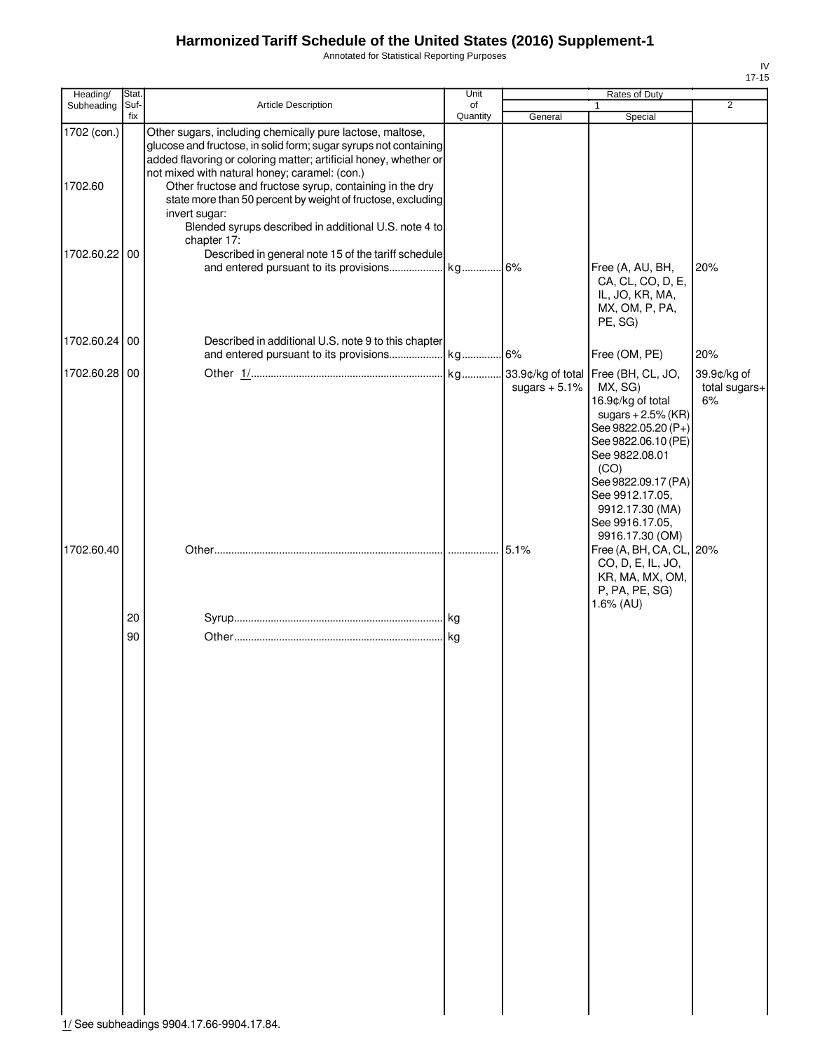Annotated for Statistical Reporting Purposes

| Heading/               | Stat.       |                                                                                                                                                                                                                                                                                                                                                                                                                                                         | Unit           |                 | Rates of Duty                                                                                                                                                                                                                                                         |                                    |
|------------------------|-------------|---------------------------------------------------------------------------------------------------------------------------------------------------------------------------------------------------------------------------------------------------------------------------------------------------------------------------------------------------------------------------------------------------------------------------------------------------------|----------------|-----------------|-----------------------------------------------------------------------------------------------------------------------------------------------------------------------------------------------------------------------------------------------------------------------|------------------------------------|
| Subheading             | Suf-<br>fix | Article Description                                                                                                                                                                                                                                                                                                                                                                                                                                     | of<br>Quantity | General         | Special                                                                                                                                                                                                                                                               | $\overline{2}$                     |
| 1702 (con.)<br>1702.60 |             | Other sugars, including chemically pure lactose, maltose,<br>glucose and fructose, in solid form; sugar syrups not containing<br>added flavoring or coloring matter; artificial honey, whether or<br>not mixed with natural honey; caramel: (con.)<br>Other fructose and fructose syrup, containing in the dry<br>state more than 50 percent by weight of fructose, excluding<br>invert sugar:<br>Blended syrups described in additional U.S. note 4 to |                |                 |                                                                                                                                                                                                                                                                       |                                    |
| 1702.60.22 00          |             | chapter 17:<br>Described in general note 15 of the tariff schedule                                                                                                                                                                                                                                                                                                                                                                                      |                |                 | Free (A, AU, BH,<br>CA, CL, CO, D, E,<br>IL, JO, KR, MA,<br>MX, OM, P, PA,<br>PE, SG)                                                                                                                                                                                 | 20%                                |
| 1702.60.24 00          |             | Described in additional U.S. note 9 to this chapter                                                                                                                                                                                                                                                                                                                                                                                                     |                |                 | Free (OM, PE)                                                                                                                                                                                                                                                         | 20%                                |
| 1702.60.28 00          |             |                                                                                                                                                                                                                                                                                                                                                                                                                                                         |                | sugars $+5.1\%$ | 33.9¢/kg of total Free (BH, CL, JO,<br>MX, SG)<br>16.9¢/kg of total<br>sugars $+2.5%$ (KR)<br>See 9822.05.20 (P+)<br>See 9822.06.10 (PE)<br>See 9822.08.01<br>(CO)<br>See 9822.09.17 (PA)<br>See 9912.17.05,<br>9912.17.30 (MA)<br>See 9916.17.05,<br>9916.17.30 (OM) | 39.9¢/kg of<br>total sugars+<br>6% |
| 1702.60.40             |             |                                                                                                                                                                                                                                                                                                                                                                                                                                                         |                | 5.1%            | Free (A, BH, CA, CL, 20%<br>CO, D, E, IL, JO,<br>KR, MA, MX, OM,<br>P, PA, PE, SG)                                                                                                                                                                                    |                                    |
|                        |             |                                                                                                                                                                                                                                                                                                                                                                                                                                                         |                |                 | 1.6% (AU)                                                                                                                                                                                                                                                             |                                    |
|                        | 20<br>90    |                                                                                                                                                                                                                                                                                                                                                                                                                                                         |                |                 |                                                                                                                                                                                                                                                                       |                                    |
|                        |             | 1/ See subheadings 9904.17.66-9904.17.84.                                                                                                                                                                                                                                                                                                                                                                                                               |                |                 |                                                                                                                                                                                                                                                                       |                                    |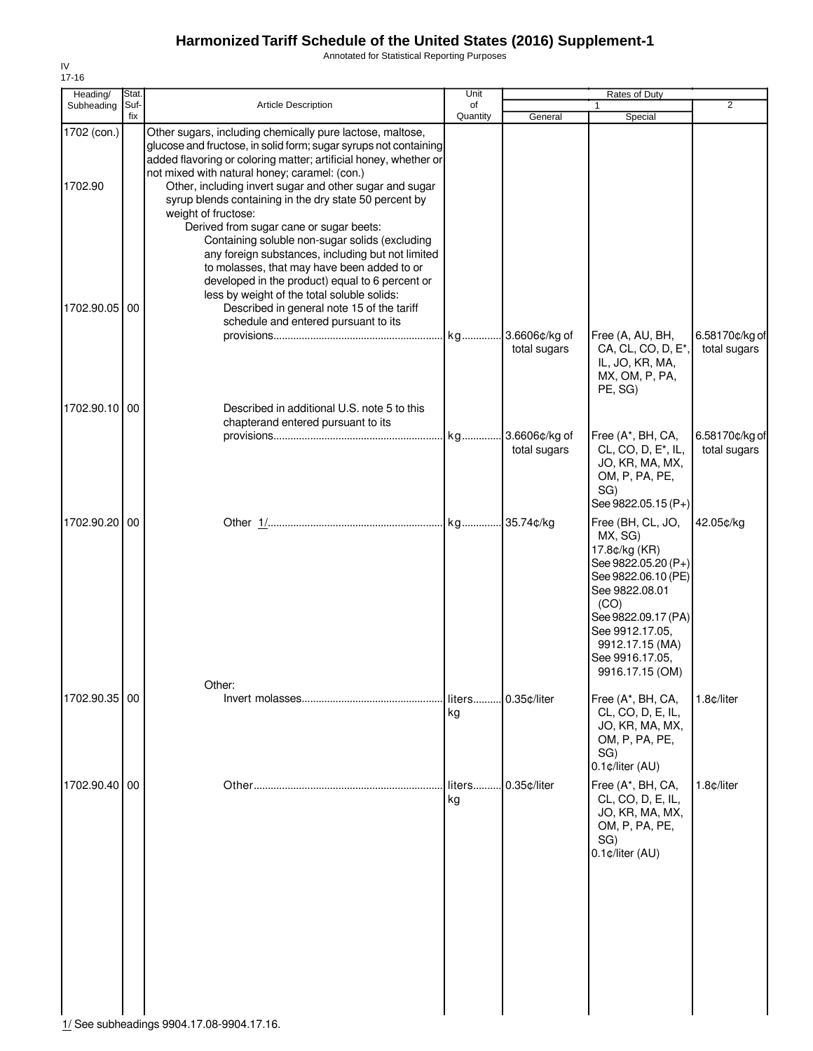Annotated for Statistical Reporting Purposes

| Heading/               | Stat.       |                                                                                                                                                                                                                                                                                                                                                                                                                                                                                             | Unit           | Rates of Duty                    |                                                                                                                                                                                                                          |                                |
|------------------------|-------------|---------------------------------------------------------------------------------------------------------------------------------------------------------------------------------------------------------------------------------------------------------------------------------------------------------------------------------------------------------------------------------------------------------------------------------------------------------------------------------------------|----------------|----------------------------------|--------------------------------------------------------------------------------------------------------------------------------------------------------------------------------------------------------------------------|--------------------------------|
| Subheading             | Suf-<br>fix | <b>Article Description</b>                                                                                                                                                                                                                                                                                                                                                                                                                                                                  | of<br>Quantity | General                          | 1<br>Special                                                                                                                                                                                                             | 2                              |
| 1702 (con.)<br>1702.90 |             | Other sugars, including chemically pure lactose, maltose,<br>glucose and fructose, in solid form; sugar syrups not containing<br>added flavoring or coloring matter; artificial honey, whether or<br>not mixed with natural honey; caramel: (con.)<br>Other, including invert sugar and other sugar and sugar<br>syrup blends containing in the dry state 50 percent by<br>weight of fructose:<br>Derived from sugar cane or sugar beets:<br>Containing soluble non-sugar solids (excluding |                |                                  |                                                                                                                                                                                                                          |                                |
| 1702.90.05 00          |             | any foreign substances, including but not limited<br>to molasses, that may have been added to or<br>developed in the product) equal to 6 percent or<br>less by weight of the total soluble solids:<br>Described in general note 15 of the tariff<br>schedule and entered pursuant to its                                                                                                                                                                                                    |                | kg 3.6606¢/kg of<br>total sugars | Free (A, AU, BH,<br>CA, CL, CO, D, E <sup>*</sup> ,<br>IL, JO, KR, MA,                                                                                                                                                   | 6.58170¢/kg of<br>total sugars |
| 1702.90.10 00          |             | Described in additional U.S. note 5 to this                                                                                                                                                                                                                                                                                                                                                                                                                                                 |                |                                  | MX, OM, P, PA,<br>PE, SG)                                                                                                                                                                                                |                                |
|                        |             | chapterand entered pursuant to its                                                                                                                                                                                                                                                                                                                                                                                                                                                          |                | total sugars                     | Free (A*, BH, CA,<br>CL, CO, D, E <sup>*</sup> , IL,<br>JO, KR, MA, MX,<br>OM, P, PA, PE,<br>SG)<br>See 9822.05.15 (P+)                                                                                                  | 6.58170¢/kg of<br>total sugars |
| 1702.90.20 00          |             |                                                                                                                                                                                                                                                                                                                                                                                                                                                                                             | kg 35.74¢/kg   |                                  | Free (BH, CL, JO,<br>MX, SG)<br>17.8¢/kg (KR)<br>See 9822.05.20 (P+)<br>See 9822.06.10 (PE)<br>See 9822.08.01<br>(CO)<br>See 9822.09.17 (PA)<br>See 9912.17.05,<br>9912.17.15 (MA)<br>See 9916.17.05,<br>9916.17.15 (OM) | 42.05¢/kg                      |
| 1702.90.35 00          |             | Other:                                                                                                                                                                                                                                                                                                                                                                                                                                                                                      | liters<br>kg   | 0.35¢/liter                      | Free (A*, BH, CA,<br>CL, CO, D, E, IL,<br>JO, KR, MA, MX,<br>OM, P, PA, PE,<br>SG)<br>0.1¢/liter (AU)                                                                                                                    | 1.8¢/liter                     |
| 1702.90.40 00          |             |                                                                                                                                                                                                                                                                                                                                                                                                                                                                                             | liters<br>kg   | 0.35¢/liter                      | Free (A*, BH, CA,<br>CL, CO, D, E, IL,<br>JO, KR, MA, MX,<br>OM, P, PA, PE,<br>SG)<br>0.1¢/liter (AU)                                                                                                                    | 1.8¢/liter                     |

IV 17-16

1/ See subheadings 9904.17.08-9904.17.16.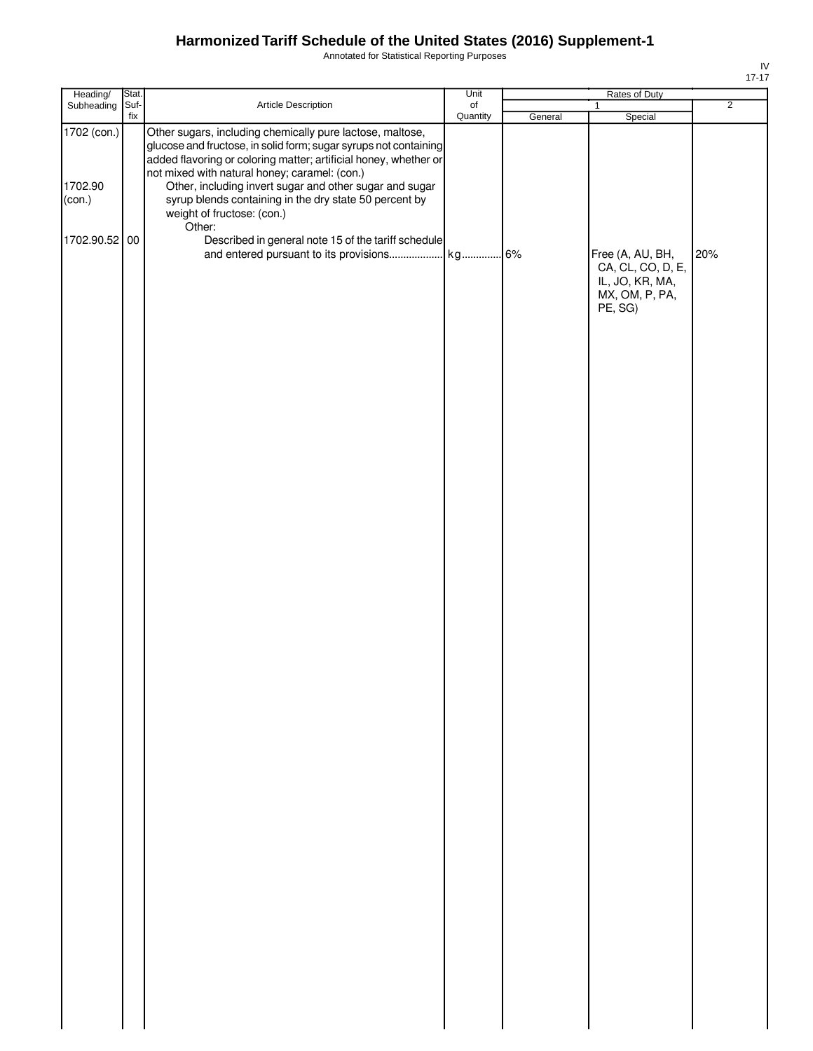Annotated for Statistical Reporting Purposes

| Heading/                         | Stat.       |                                                                                                                                                                                                                                                                                                                                                                                                       | Unit                      | Rates of Duty |                                                                                       |                |  |
|----------------------------------|-------------|-------------------------------------------------------------------------------------------------------------------------------------------------------------------------------------------------------------------------------------------------------------------------------------------------------------------------------------------------------------------------------------------------------|---------------------------|---------------|---------------------------------------------------------------------------------------|----------------|--|
| Subheading                       | Suf-<br>fix | Article Description                                                                                                                                                                                                                                                                                                                                                                                   | $\mathsf{of}$<br>Quantity | General       | $\mathbf{1}$<br>Special                                                               | $\overline{2}$ |  |
| 1702 (con.)<br>1702.90<br>(con.) |             | Other sugars, including chemically pure lactose, maltose,<br>glucose and fructose, in solid form; sugar syrups not containing<br>added flavoring or coloring matter; artificial honey, whether or<br>not mixed with natural honey; caramel: (con.)<br>Other, including invert sugar and other sugar and sugar<br>syrup blends containing in the dry state 50 percent by<br>weight of fructose: (con.) |                           |               |                                                                                       |                |  |
|                                  |             |                                                                                                                                                                                                                                                                                                                                                                                                       |                           |               |                                                                                       |                |  |
| 1702.90.52 00                    |             | Other:<br>Described in general note 15 of the tariff schedule                                                                                                                                                                                                                                                                                                                                         |                           |               | Free (A, AU, BH,<br>CA, CL, CO, D, E,<br>IL, JO, KR, MA,<br>MX, OM, P, PA,<br>PE, SG) | 20%            |  |
|                                  |             |                                                                                                                                                                                                                                                                                                                                                                                                       |                           |               |                                                                                       |                |  |
|                                  |             |                                                                                                                                                                                                                                                                                                                                                                                                       |                           |               |                                                                                       |                |  |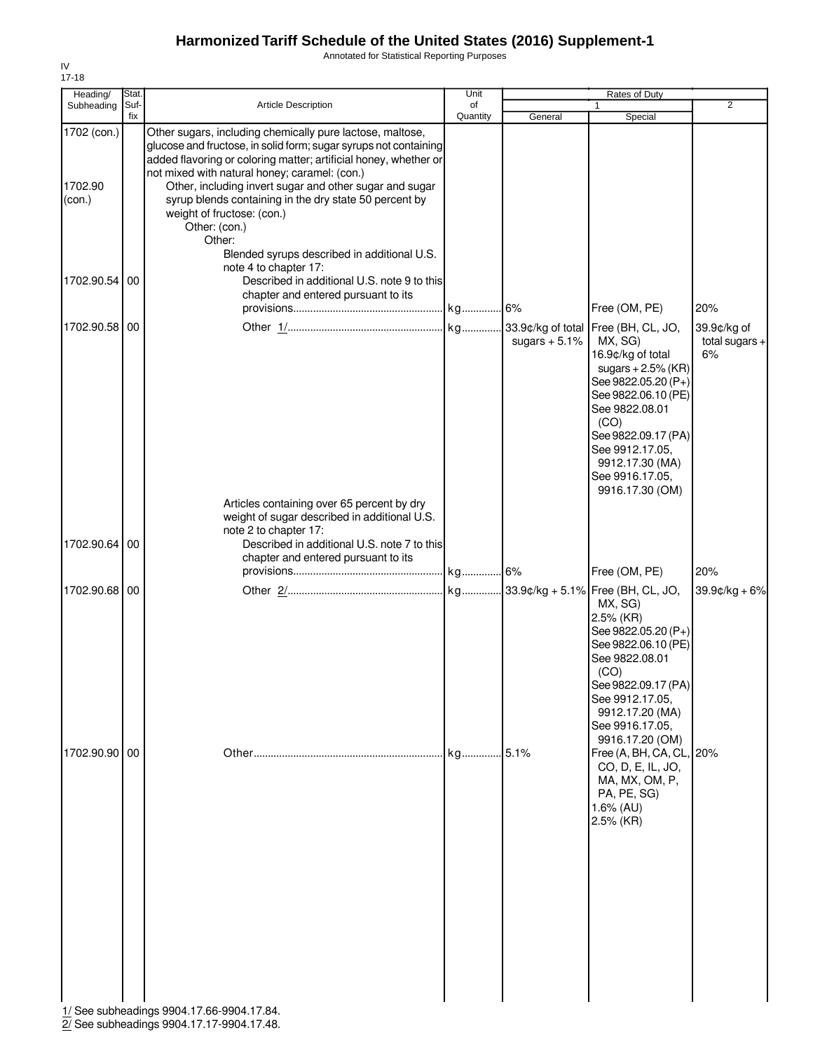Annotated for Statistical Reporting Purposes

| Heading/                         | Stat.       |                                                                                                                                                                                                                                                                                                                                                                                                                                                                                                          | Unit           |                 | Rates of Duty                                                                                                                                                                                                                  |                                       |
|----------------------------------|-------------|----------------------------------------------------------------------------------------------------------------------------------------------------------------------------------------------------------------------------------------------------------------------------------------------------------------------------------------------------------------------------------------------------------------------------------------------------------------------------------------------------------|----------------|-----------------|--------------------------------------------------------------------------------------------------------------------------------------------------------------------------------------------------------------------------------|---------------------------------------|
| Subheading                       | Suf-<br>fix | Article Description                                                                                                                                                                                                                                                                                                                                                                                                                                                                                      | of<br>Quantity | General         | $\mathbf{1}$<br>Special                                                                                                                                                                                                        | $\overline{2}$                        |
| 1702 (con.)<br>1702.90<br>(con.) |             | Other sugars, including chemically pure lactose, maltose,<br>glucose and fructose, in solid form; sugar syrups not containing<br>added flavoring or coloring matter; artificial honey, whether or<br>not mixed with natural honey; caramel: (con.)<br>Other, including invert sugar and other sugar and sugar<br>syrup blends containing in the dry state 50 percent by<br>weight of fructose: (con.)<br>Other: (con.)<br>Other:<br>Blended syrups described in additional U.S.<br>note 4 to chapter 17: |                |                 |                                                                                                                                                                                                                                |                                       |
| 1702.90.54                       | 00          | Described in additional U.S. note 9 to this<br>chapter and entered pursuant to its                                                                                                                                                                                                                                                                                                                                                                                                                       |                |                 | Free (OM, PE)                                                                                                                                                                                                                  | 20%                                   |
| 1702.90.58                       | 00          |                                                                                                                                                                                                                                                                                                                                                                                                                                                                                                          |                | sugars $+5.1\%$ | MX, SG)<br>16.9¢/kg of total<br>sugars $+2.5%$ (KR)<br>See 9822.05.20 (P+)<br>See 9822.06.10 (PE)<br>See 9822.08.01<br>(CO)<br>See 9822.09.17 (PA)<br>See 9912.17.05,<br>9912.17.30 (MA)<br>See 9916.17.05,<br>9916.17.30 (OM) | 39.9¢/kg of<br>total sugars $+$<br>6% |
| 1702.90.64                       | 00          | Articles containing over 65 percent by dry<br>weight of sugar described in additional U.S.<br>note 2 to chapter 17:<br>Described in additional U.S. note 7 to this<br>chapter and entered pursuant to its                                                                                                                                                                                                                                                                                                |                |                 |                                                                                                                                                                                                                                |                                       |
|                                  |             |                                                                                                                                                                                                                                                                                                                                                                                                                                                                                                          |                |                 | Free (OM, PE)                                                                                                                                                                                                                  | 20%                                   |
| 1702.90.68 00                    |             |                                                                                                                                                                                                                                                                                                                                                                                                                                                                                                          |                |                 | MX, SG)<br>2.5% (KR)<br>See 9822.05.20 (P+)<br>See 9822.06.10 (PE)<br>See 9822.08.01<br>(CO)<br>See 9822.09.17 (PA)<br>See 9912.17.05,<br>9912.17.20 (MA)<br>See 9916.17.05,<br>9916.17.20 (OM)                                | $39.9c/kg + 6%$                       |
| 1702.90.90 00                    |             | 1/ See subheadings 9904.17.66-9904.17.84.                                                                                                                                                                                                                                                                                                                                                                                                                                                                | kg             | 5.1%            | Free (A, BH, CA, CL,<br>CO, D, E, IL, JO,<br>MA, MX, OM, P,<br>PA, PE, SG)<br>$1.6\%$ (AU)<br>2.5% (KR)                                                                                                                        | 20%                                   |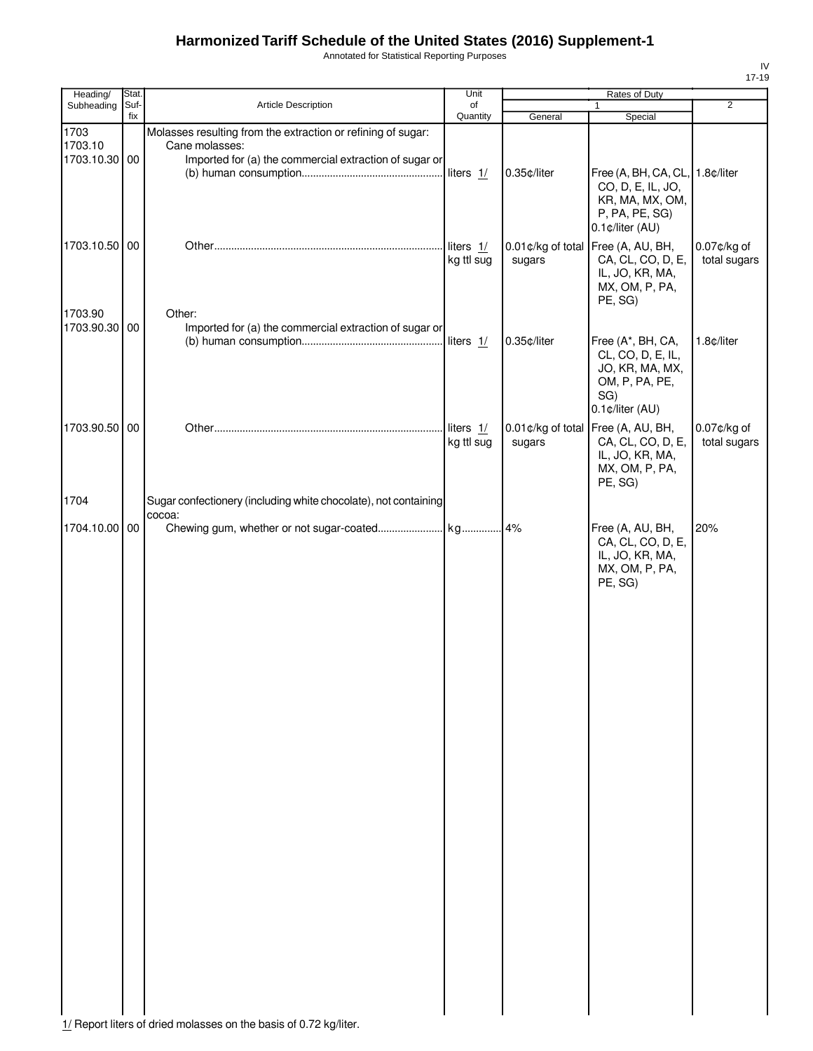Annotated for Statistical Reporting Purposes

| Heading/                         | Stat.       |                                                                                                                                          | Unit                    |             | Rates of Duty                                                                                                |                             |
|----------------------------------|-------------|------------------------------------------------------------------------------------------------------------------------------------------|-------------------------|-------------|--------------------------------------------------------------------------------------------------------------|-----------------------------|
| Subheading                       | Suf-<br>fix | Article Description                                                                                                                      | of<br>Quantity          |             | $\mathbf{1}$                                                                                                 | $\overline{2}$              |
| 1703<br>1703.10<br>1703.10.30 00 |             | Molasses resulting from the extraction or refining of sugar:<br>Cane molasses:<br>Imported for (a) the commercial extraction of sugar or |                         | General     | Special                                                                                                      |                             |
|                                  |             |                                                                                                                                          | liters $1/$             | 0.35¢/liter | Free (A, BH, CA, CL, 1.8¢/liter<br>CO, D, E, IL, JO,<br>KR, MA, MX, OM,<br>P, PA, PE, SG)<br>0.1¢/liter (AU) |                             |
| 1703.10.50 00                    |             |                                                                                                                                          | liters 1/<br>kg ttl sug | sugars      | 0.01¢/kg of total Free (A, AU, BH,<br>CA, CL, CO, D, E,<br>IL, JO, KR, MA,<br>MX, OM, P, PA,<br>PE, SG)      | 0.07¢/kg of<br>total sugars |
| 1703.90<br>1703.90.30 00         |             | Other:<br>Imported for (a) the commercial extraction of sugar or                                                                         |                         | 0.35¢/liter | Free (A*, BH, CA,<br>CL, CO, D, E, IL,<br>JO, KR, MA, MX,<br>OM, P, PA, PE,<br>SG)<br>0.1¢/liter (AU)        | 1.8¢/liter                  |
| 1703.90.50 00<br>1704            |             | Sugar confectionery (including white chocolate), not containing                                                                          | liters 1/<br>kg ttl sug | sugars      | 0.01¢/kg of total Free (A, AU, BH,<br>CA, CL, CO, D, E,<br>IL, JO, KR, MA,<br>MX, OM, P, PA,<br>PE, SG)      | 0.07¢/kg of<br>total sugars |
|                                  |             | cocoa:                                                                                                                                   |                         |             |                                                                                                              |                             |
| 1704.10.00 00                    |             |                                                                                                                                          |                         |             | Free (A, AU, BH,<br>CA, CL, CO, D, E,<br>IL, JO, KR, MA,<br>MX, OM, P, PA,<br>PE, SG)                        | 20%                         |
|                                  |             |                                                                                                                                          |                         |             |                                                                                                              |                             |
|                                  |             |                                                                                                                                          |                         |             |                                                                                                              |                             |
|                                  |             |                                                                                                                                          |                         |             |                                                                                                              |                             |

1/ Report liters of dried molasses on the basis of 0.72 kg/liter.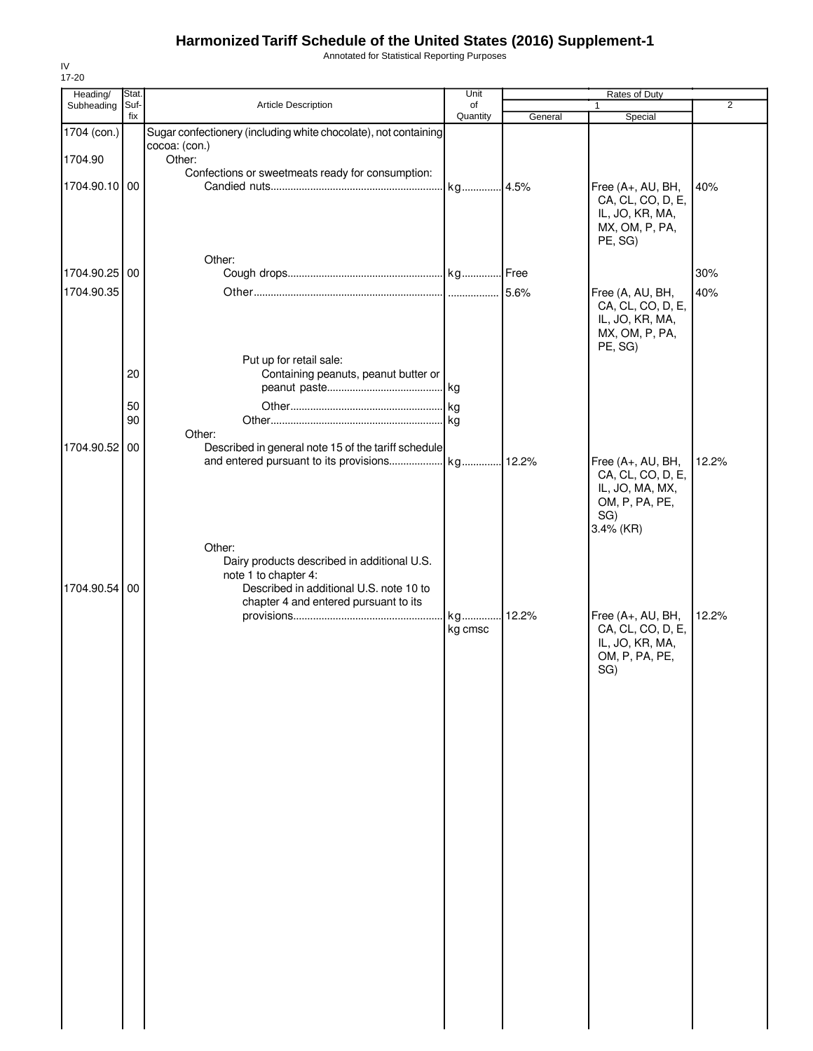Annotated for Statistical Reporting Purposes

| Heading/      | Stat.       |                                                                 | Unit           |         | Rates of Duty                          |                |
|---------------|-------------|-----------------------------------------------------------------|----------------|---------|----------------------------------------|----------------|
| Subheading    | Suf-<br>fix | Article Description                                             | of<br>Quantity | General | 1<br>Special                           | $\overline{2}$ |
| 1704 (con.)   |             | Sugar confectionery (including white chocolate), not containing |                |         |                                        |                |
|               |             | cocoa: (con.)                                                   |                |         |                                        |                |
| 1704.90       |             | Other:                                                          |                |         |                                        |                |
|               |             | Confections or sweetmeats ready for consumption:                |                |         |                                        |                |
| 1704.90.10 00 |             |                                                                 | kg 4.5%        |         | Free (A+, AU, BH,                      | 40%            |
|               |             |                                                                 |                |         | CA, CL, CO, D, E,<br>IL, JO, KR, MA,   |                |
|               |             |                                                                 |                |         | MX, OM, P, PA,                         |                |
|               |             |                                                                 |                |         | PE, SG)                                |                |
|               |             | Other:                                                          |                |         |                                        |                |
| 1704.90.25 00 |             |                                                                 |                |         |                                        | 30%            |
|               |             |                                                                 |                |         |                                        |                |
| 1704.90.35    |             |                                                                 |                | 5.6%    | Free (A, AU, BH,<br>CA, CL, CO, D, E,  | 40%            |
|               |             |                                                                 |                |         | IL, JO, KR, MA,                        |                |
|               |             |                                                                 |                |         | MX, OM, P, PA,                         |                |
|               |             |                                                                 |                |         | PE, SG)                                |                |
|               |             | Put up for retail sale:                                         |                |         |                                        |                |
|               | 20          | Containing peanuts, peanut butter or                            |                |         |                                        |                |
|               |             |                                                                 |                |         |                                        |                |
|               | 50          |                                                                 |                |         |                                        |                |
|               | 90          |                                                                 |                |         |                                        |                |
|               |             | Other:                                                          |                |         |                                        |                |
| 1704.90.52 00 |             | Described in general note 15 of the tariff schedule             |                |         |                                        |                |
|               |             |                                                                 |                |         | Free (A+, AU, BH,<br>CA, CL, CO, D, E, | 12.2%          |
|               |             |                                                                 |                |         | IL, JO, MA, MX,                        |                |
|               |             |                                                                 |                |         | OM, P, PA, PE,                         |                |
|               |             |                                                                 |                |         | SG)                                    |                |
|               |             |                                                                 |                |         | 3.4% (KR)                              |                |
|               |             | Other:                                                          |                |         |                                        |                |
|               |             | Dairy products described in additional U.S.                     |                |         |                                        |                |
|               |             | note 1 to chapter 4:                                            |                |         |                                        |                |
| 1704.90.54 00 |             | Described in additional U.S. note 10 to                         |                |         |                                        |                |
|               |             | chapter 4 and entered pursuant to its                           | kg             | .12.2%  | Free (A+, AU, BH,                      | 12.2%          |
|               |             |                                                                 | kg cmsc        |         | CA, CL, CO, D, E,                      |                |
|               |             |                                                                 |                |         | IL, JO, KR, MA,                        |                |
|               |             |                                                                 |                |         | OM, P, PA, PE,                         |                |
|               |             |                                                                 |                |         | SG)                                    |                |
|               |             |                                                                 |                |         |                                        |                |
|               |             |                                                                 |                |         |                                        |                |
|               |             |                                                                 |                |         |                                        |                |
|               |             |                                                                 |                |         |                                        |                |
|               |             |                                                                 |                |         |                                        |                |
|               |             |                                                                 |                |         |                                        |                |
|               |             |                                                                 |                |         |                                        |                |
|               |             |                                                                 |                |         |                                        |                |
|               |             |                                                                 |                |         |                                        |                |
|               |             |                                                                 |                |         |                                        |                |
|               |             |                                                                 |                |         |                                        |                |
|               |             |                                                                 |                |         |                                        |                |
|               |             |                                                                 |                |         |                                        |                |
|               |             |                                                                 |                |         |                                        |                |
|               |             |                                                                 |                |         |                                        |                |
|               |             |                                                                 |                |         |                                        |                |
|               |             |                                                                 |                |         |                                        |                |
|               |             |                                                                 |                |         |                                        |                |
|               |             |                                                                 |                |         |                                        |                |
|               |             |                                                                 |                |         |                                        |                |
|               |             |                                                                 |                |         |                                        |                |
|               |             |                                                                 |                |         |                                        |                |
|               |             |                                                                 |                |         |                                        |                |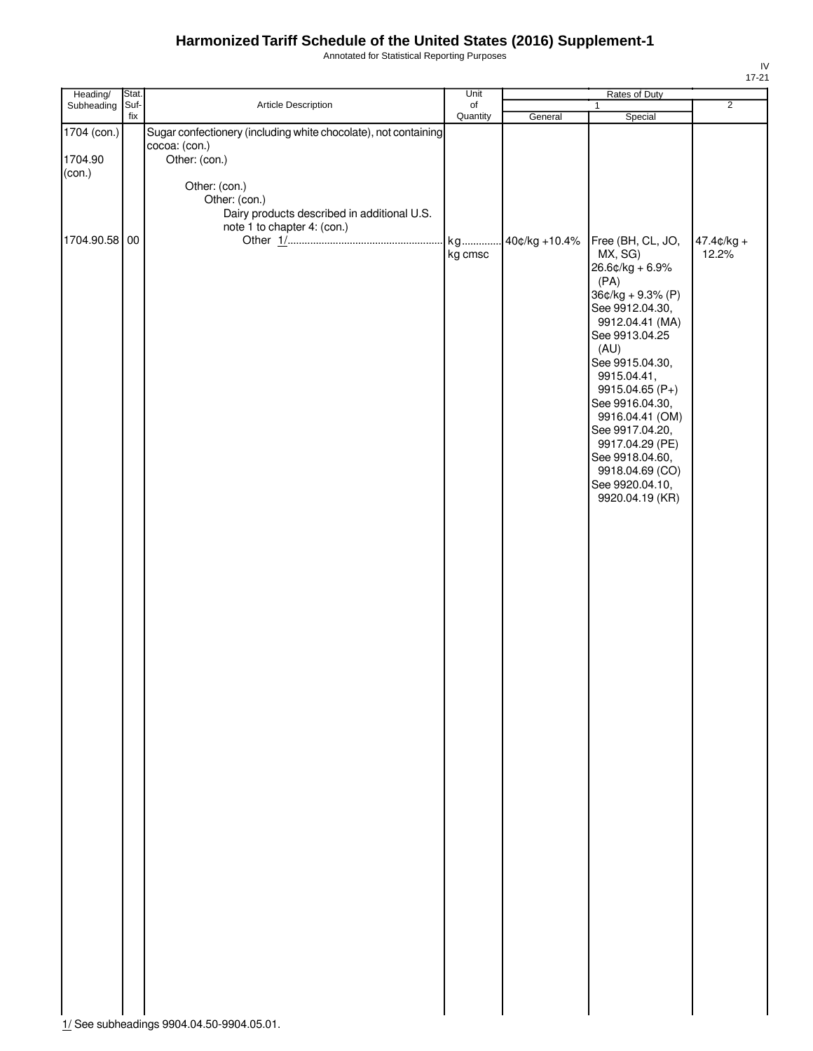Annotated for Statistical Reporting Purposes

| Heading/                         | Stat. |                                                                                                                    | Unit          | Rates of Duty |                                                                                                                                                                                                                                                                                                  |                        |  |
|----------------------------------|-------|--------------------------------------------------------------------------------------------------------------------|---------------|---------------|--------------------------------------------------------------------------------------------------------------------------------------------------------------------------------------------------------------------------------------------------------------------------------------------------|------------------------|--|
| Subheading                       | Suf-  | Article Description                                                                                                | of            |               | $\mathbf{1}$                                                                                                                                                                                                                                                                                     | $\overline{2}$         |  |
| 1704 (con.)<br>1704.90<br>(con.) | fix   | Sugar confectionery (including white chocolate), not containing<br>cocoa: (con.)<br>Other: (con.)<br>Other: (con.) | Quantity      | General       | Special                                                                                                                                                                                                                                                                                          |                        |  |
| 1704.90.58 00                    |       | Other: (con.)<br>Dairy products described in additional U.S.<br>note 1 to chapter 4: (con.)                        | kg<br>kg cmsc | 40¢/kg +10.4% | Free (BH, CL, JO,<br>MX, SG)<br>$26.6$ ¢/kg + 6.9%<br>(PA)                                                                                                                                                                                                                                       | $47.4$ ¢/kg +<br>12.2% |  |
|                                  |       |                                                                                                                    |               |               | $36¢/kg + 9.3% (P)$<br>See 9912.04.30,<br>9912.04.41 (MA)<br>See 9913.04.25<br>(AU)<br>See 9915.04.30,<br>9915.04.41,<br>9915.04.65 (P+)<br>See 9916.04.30,<br>9916.04.41 (OM)<br>See 9917.04.20,<br>9917.04.29 (PE)<br>See 9918.04.60,<br>9918.04.69 (CO)<br>See 9920.04.10,<br>9920.04.19 (KR) |                        |  |
|                                  |       |                                                                                                                    |               |               |                                                                                                                                                                                                                                                                                                  |                        |  |
|                                  |       |                                                                                                                    |               |               |                                                                                                                                                                                                                                                                                                  |                        |  |